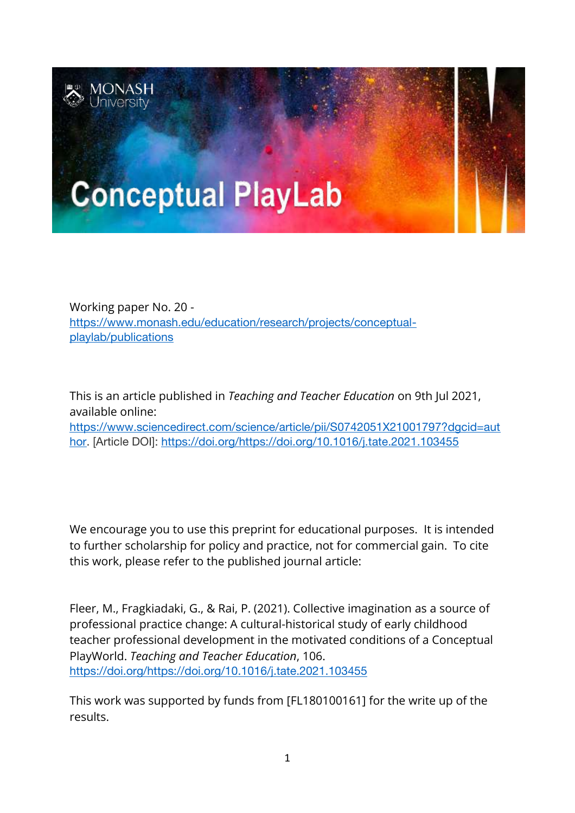

Working paper No. 20 [https://www.monash.edu/education/research/projects/conceptual](https://www.monash.edu/education/research/projects/conceptual-playlab/publications)[playlab/publications](https://www.monash.edu/education/research/projects/conceptual-playlab/publications)

This is an article published in *Teaching and Teacher Education* on 9th Jul 2021, available online: [https://www.sciencedirect.com/science/article/pii/S0742051X21001797?dgcid=aut](https://www.sciencedirect.com/science/article/pii/S0742051X21001797?dgcid=author) [hor.](https://www.sciencedirect.com/science/article/pii/S0742051X21001797?dgcid=author) [Article DOI]: [https://doi.org/https://doi.org/10.1016/j.tate.2021.103455](https://doi.org/https:/doi.org/10.1016/j.tate.2021.103455)

We encourage you to use this preprint for educational purposes. It is intended to further scholarship for policy and practice, not for commercial gain. To cite this work, please refer to the published journal article:

Fleer, M., Fragkiadaki, G., & Rai, P. (2021). Collective imagination as a source of professional practice change: A cultural-historical study of early childhood teacher professional development in the motivated conditions of a Conceptual PlayWorld. *Teaching and Teacher Education*, 106. [https://doi.org/https://doi.org/10.1016/j.tate.2021.103455](https://doi.org/https:/doi.org/10.1016/j.tate.2021.103455)

This work was supported by funds from [\[FL180100161\]](https://www.sciencedirect.com/science/article/pii/S2210656120301094?via%3Dihub#gts0010) for the write up of the results.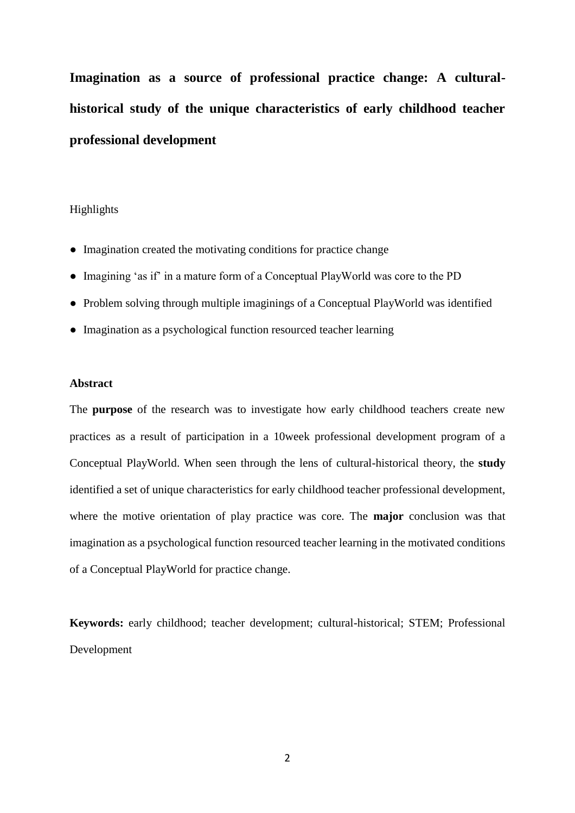**Imagination as a source of professional practice change: A culturalhistorical study of the unique characteristics of early childhood teacher professional development**

## Highlights

- Imagination created the motivating conditions for practice change
- Imagining 'as if' in a mature form of a Conceptual PlayWorld was core to the PD
- Problem solving through multiple imaginings of a Conceptual PlayWorld was identified
- Imagination as a psychological function resourced teacher learning

### **Abstract**

The **purpose** of the research was to investigate how early childhood teachers create new practices as a result of participation in a 10week professional development program of a Conceptual PlayWorld. When seen through the lens of cultural-historical theory, the **study**  identified a set of unique characteristics for early childhood teacher professional development, where the motive orientation of play practice was core. The **major** conclusion was that imagination as a psychological function resourced teacher learning in the motivated conditions of a Conceptual PlayWorld for practice change.

**Keywords:** early childhood; teacher development; cultural-historical; STEM; Professional Development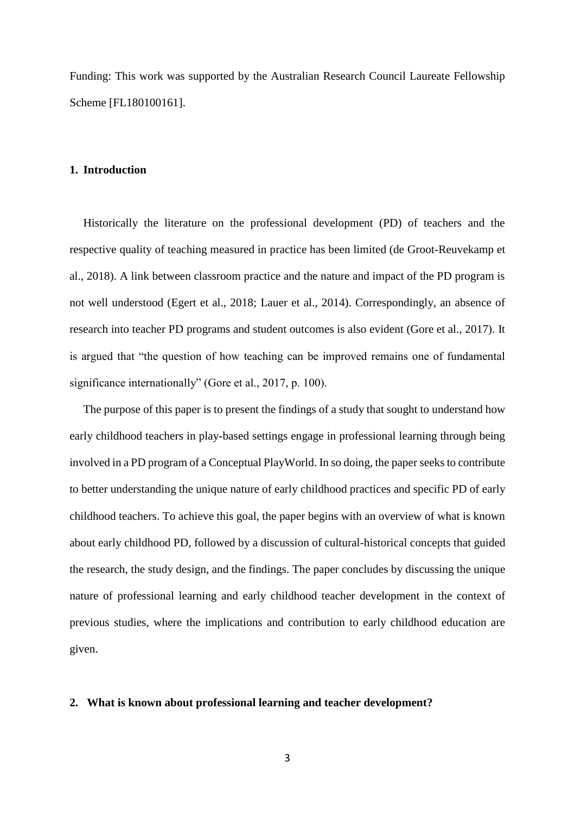Funding: This work was supported by the Australian Research Council Laureate Fellowship Scheme [FL180100161].

#### **1. Introduction**

Historically the literature on the professional development (PD) of teachers and the respective quality of teaching measured in practice has been limited (de Groot-Reuvekamp et al., 2018). A link between classroom practice and the nature and impact of the PD program is not well understood (Egert et al., 2018; Lauer et al., 2014). Correspondingly, an absence of research into teacher PD programs and student outcomes is also evident (Gore et al., 2017). It is argued that "the question of how teaching can be improved remains one of fundamental significance internationally" (Gore et al., 2017, p. 100).

The purpose of this paper is to present the findings of a study that sought to understand how early childhood teachers in play-based settings engage in professional learning through being involved in a PD program of a Conceptual PlayWorld. In so doing, the paper seeks to contribute to better understanding the unique nature of early childhood practices and specific PD of early childhood teachers. To achieve this goal, the paper begins with an overview of what is known about early childhood PD, followed by a discussion of cultural-historical concepts that guided the research, the study design, and the findings. The paper concludes by discussing the unique nature of professional learning and early childhood teacher development in the context of previous studies, where the implications and contribution to early childhood education are given.

# **2. What is known about professional learning and teacher development?**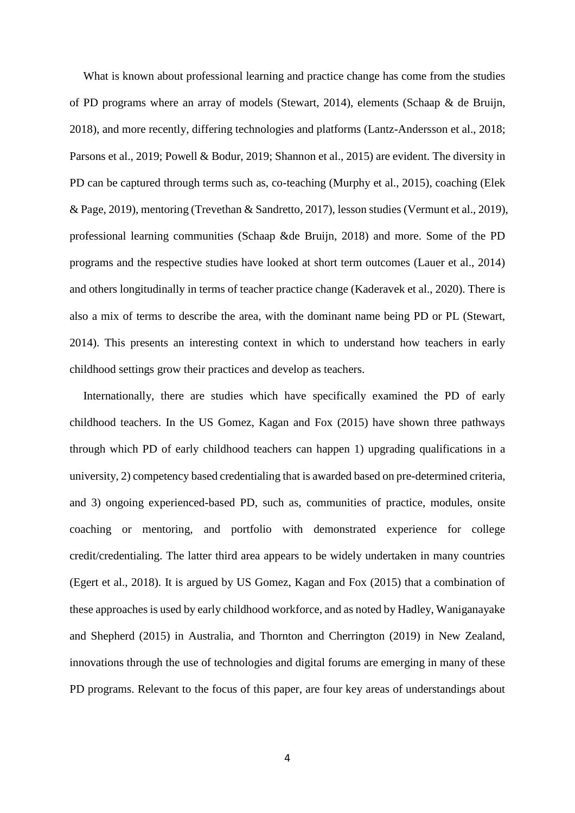What is known about professional learning and practice change has come from the studies of PD programs where an array of models (Stewart, 2014), elements (Schaap & de Bruijn, 2018), and more recently, differing technologies and platforms (Lantz-Andersson et al., 2018; Parsons et al., 2019; Powell & Bodur, 2019; Shannon et al., 2015) are evident. The diversity in PD can be captured through terms such as, co-teaching (Murphy et al., 2015), coaching (Elek & Page, 2019), mentoring (Trevethan & Sandretto, 2017), lesson studies (Vermunt et al., 2019), professional learning communities (Schaap &de Bruijn, 2018) and more. Some of the PD programs and the respective studies have looked at short term outcomes (Lauer et al., 2014) and others longitudinally in terms of teacher practice change (Kaderavek et al., 2020). There is also a mix of terms to describe the area, with the dominant name being PD or PL (Stewart, 2014). This presents an interesting context in which to understand how teachers in early childhood settings grow their practices and develop as teachers.

Internationally, there are studies which have specifically examined the PD of early childhood teachers. In the US Gomez, Kagan and Fox (2015) have shown three pathways through which PD of early childhood teachers can happen 1) upgrading qualifications in a university, 2) competency based credentialing that is awarded based on pre-determined criteria, and 3) ongoing experienced-based PD, such as, communities of practice, modules, onsite coaching or mentoring, and portfolio with demonstrated experience for college credit/credentialing. The latter third area appears to be widely undertaken in many countries (Egert et al., 2018). It is argued by US Gomez, Kagan and Fox (2015) that a combination of these approaches is used by early childhood workforce, and as noted by Hadley, Waniganayake and Shepherd (2015) in Australia, and Thornton and Cherrington (2019) in New Zealand, innovations through the use of technologies and digital forums are emerging in many of these PD programs. Relevant to the focus of this paper, are four key areas of understandings about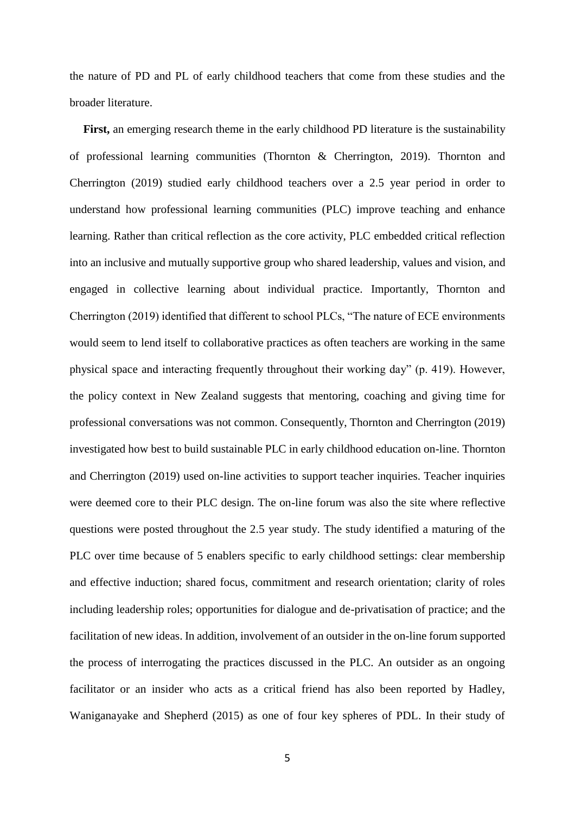the nature of PD and PL of early childhood teachers that come from these studies and the broader literature.

**First,** an emerging research theme in the early childhood PD literature is the sustainability of professional learning communities (Thornton & Cherrington, 2019). Thornton and Cherrington (2019) studied early childhood teachers over a 2.5 year period in order to understand how professional learning communities (PLC) improve teaching and enhance learning. Rather than critical reflection as the core activity, PLC embedded critical reflection into an inclusive and mutually supportive group who shared leadership, values and vision, and engaged in collective learning about individual practice. Importantly, Thornton and Cherrington (2019) identified that different to school PLCs, "The nature of ECE environments would seem to lend itself to collaborative practices as often teachers are working in the same physical space and interacting frequently throughout their working day" (p. 419). However, the policy context in New Zealand suggests that mentoring, coaching and giving time for professional conversations was not common. Consequently, Thornton and Cherrington (2019) investigated how best to build sustainable PLC in early childhood education on-line. Thornton and Cherrington (2019) used on-line activities to support teacher inquiries. Teacher inquiries were deemed core to their PLC design. The on-line forum was also the site where reflective questions were posted throughout the 2.5 year study. The study identified a maturing of the PLC over time because of 5 enablers specific to early childhood settings: clear membership and effective induction; shared focus, commitment and research orientation; clarity of roles including leadership roles; opportunities for dialogue and de-privatisation of practice; and the facilitation of new ideas. In addition, involvement of an outsider in the on-line forum supported the process of interrogating the practices discussed in the PLC. An outsider as an ongoing facilitator or an insider who acts as a critical friend has also been reported by Hadley, Waniganayake and Shepherd (2015) as one of four key spheres of PDL. In their study of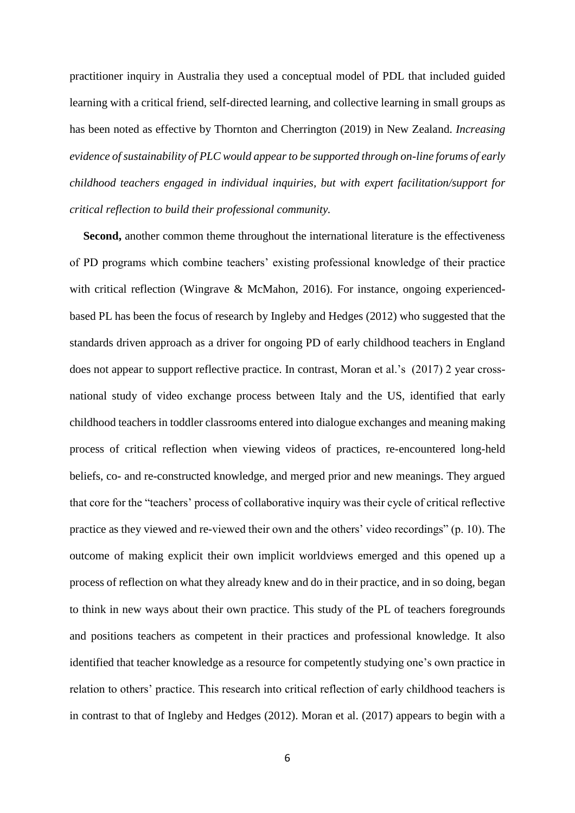practitioner inquiry in Australia they used a conceptual model of PDL that included guided learning with a critical friend, self-directed learning, and collective learning in small groups as has been noted as effective by Thornton and Cherrington (2019) in New Zealand. *Increasing evidence of sustainability of PLC would appear to be supported through on-line forums of early childhood teachers engaged in individual inquiries, but with expert facilitation/support for critical reflection to build their professional community.*

**Second,** another common theme throughout the international literature is the effectiveness of PD programs which combine teachers' existing professional knowledge of their practice with critical reflection (Wingrave & McMahon, 2016). For instance, ongoing experiencedbased PL has been the focus of research by Ingleby and Hedges (2012) who suggested that the standards driven approach as a driver for ongoing PD of early childhood teachers in England does not appear to support reflective practice. In contrast, Moran et al.'s (2017) 2 year crossnational study of video exchange process between Italy and the US, identified that early childhood teachers in toddler classrooms entered into dialogue exchanges and meaning making process of critical reflection when viewing videos of practices, re-encountered long-held beliefs, co- and re-constructed knowledge, and merged prior and new meanings. They argued that core for the "teachers' process of collaborative inquiry was their cycle of critical reflective practice as they viewed and re-viewed their own and the others' video recordings" (p. 10). The outcome of making explicit their own implicit worldviews emerged and this opened up a process of reflection on what they already knew and do in their practice, and in so doing, began to think in new ways about their own practice. This study of the PL of teachers foregrounds and positions teachers as competent in their practices and professional knowledge. It also identified that teacher knowledge as a resource for competently studying one's own practice in relation to others' practice. This research into critical reflection of early childhood teachers is in contrast to that of Ingleby and Hedges (2012). Moran et al. (2017) appears to begin with a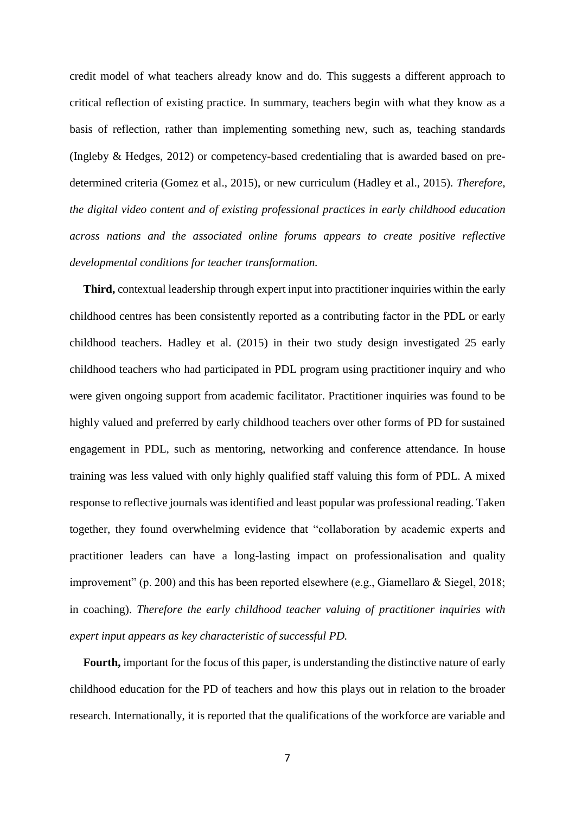credit model of what teachers already know and do. This suggests a different approach to critical reflection of existing practice. In summary, teachers begin with what they know as a basis of reflection, rather than implementing something new, such as, teaching standards (Ingleby & Hedges, 2012) or competency-based credentialing that is awarded based on predetermined criteria (Gomez et al., 2015), or new curriculum (Hadley et al., 2015). *Therefore, the digital video content and of existing professional practices in early childhood education across nations and the associated online forums appears to create positive reflective developmental conditions for teacher transformation.*

**Third,** contextual leadership through expert input into practitioner inquiries within the early childhood centres has been consistently reported as a contributing factor in the PDL or early childhood teachers. Hadley et al. (2015) in their two study design investigated 25 early childhood teachers who had participated in PDL program using practitioner inquiry and who were given ongoing support from academic facilitator. Practitioner inquiries was found to be highly valued and preferred by early childhood teachers over other forms of PD for sustained engagement in PDL, such as mentoring, networking and conference attendance. In house training was less valued with only highly qualified staff valuing this form of PDL. A mixed response to reflective journals was identified and least popular was professional reading. Taken together, they found overwhelming evidence that "collaboration by academic experts and practitioner leaders can have a long-lasting impact on professionalisation and quality improvement" (p. 200) and this has been reported elsewhere (e.g., Giamellaro & Siegel, 2018; in coaching). *Therefore the early childhood teacher valuing of practitioner inquiries with expert input appears as key characteristic of successful PD.*

**Fourth,** important for the focus of this paper, is understanding the distinctive nature of early childhood education for the PD of teachers and how this plays out in relation to the broader research. Internationally, it is reported that the qualifications of the workforce are variable and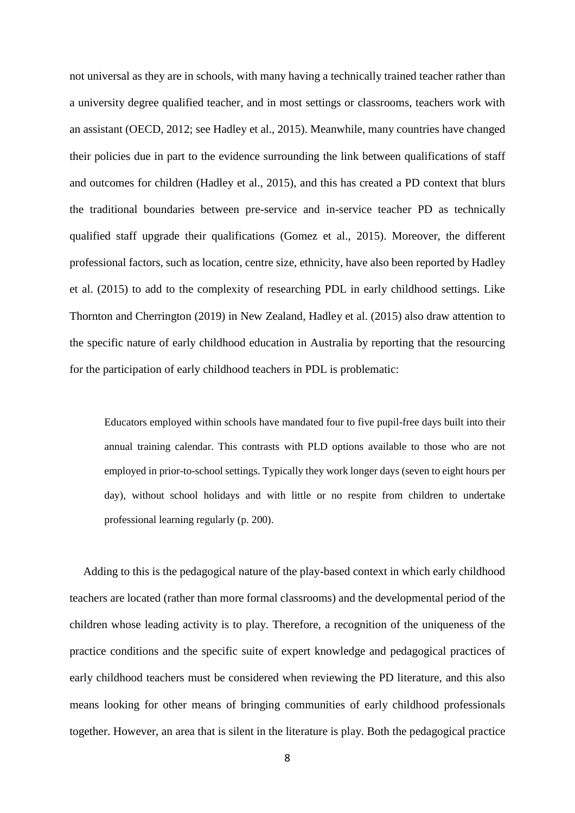not universal as they are in schools, with many having a technically trained teacher rather than a university degree qualified teacher, and in most settings or classrooms, teachers work with an assistant (OECD, 2012; see Hadley et al., 2015). Meanwhile, many countries have changed their policies due in part to the evidence surrounding the link between qualifications of staff and outcomes for children (Hadley et al., 2015), and this has created a PD context that blurs the traditional boundaries between pre-service and in-service teacher PD as technically qualified staff upgrade their qualifications (Gomez et al., 2015). Moreover, the different professional factors, such as location, centre size, ethnicity, have also been reported by Hadley et al. (2015) to add to the complexity of researching PDL in early childhood settings. Like Thornton and Cherrington (2019) in New Zealand, Hadley et al. (2015) also draw attention to the specific nature of early childhood education in Australia by reporting that the resourcing for the participation of early childhood teachers in PDL is problematic:

Educators employed within schools have mandated four to five pupil-free days built into their annual training calendar. This contrasts with PLD options available to those who are not employed in prior-to-school settings. Typically they work longer days (seven to eight hours per day), without school holidays and with little or no respite from children to undertake professional learning regularly (p. 200).

Adding to this is the pedagogical nature of the play-based context in which early childhood teachers are located (rather than more formal classrooms) and the developmental period of the children whose leading activity is to play. Therefore, a recognition of the uniqueness of the practice conditions and the specific suite of expert knowledge and pedagogical practices of early childhood teachers must be considered when reviewing the PD literature, and this also means looking for other means of bringing communities of early childhood professionals together. However, an area that is silent in the literature is play. Both the pedagogical practice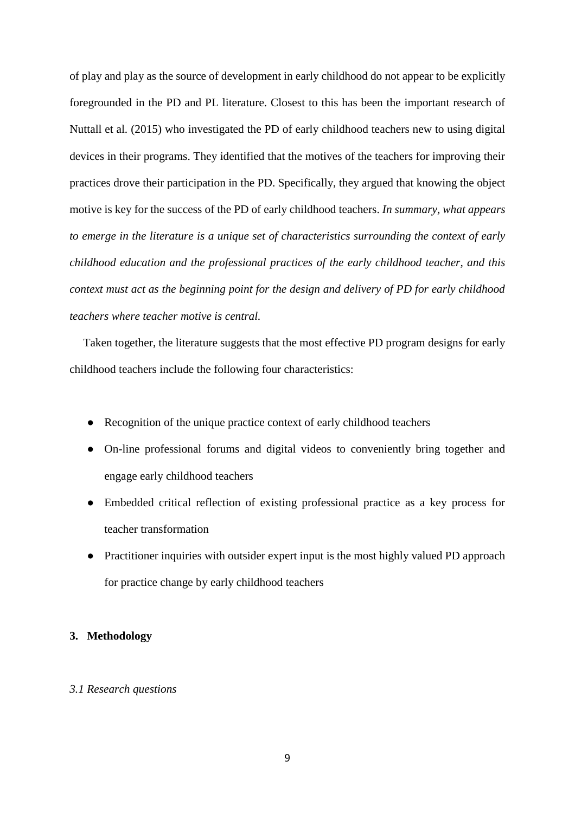of play and play as the source of development in early childhood do not appear to be explicitly foregrounded in the PD and PL literature. Closest to this has been the important research of Nuttall et al. (2015) who investigated the PD of early childhood teachers new to using digital devices in their programs. They identified that the motives of the teachers for improving their practices drove their participation in the PD. Specifically, they argued that knowing the object motive is key for the success of the PD of early childhood teachers. *In summary, what appears to emerge in the literature is a unique set of characteristics surrounding the context of early childhood education and the professional practices of the early childhood teacher, and this context must act as the beginning point for the design and delivery of PD for early childhood teachers where teacher motive is central.*

Taken together, the literature suggests that the most effective PD program designs for early childhood teachers include the following four characteristics:

- Recognition of the unique practice context of early childhood teachers
- On-line professional forums and digital videos to conveniently bring together and engage early childhood teachers
- Embedded critical reflection of existing professional practice as a key process for teacher transformation
- Practitioner inquiries with outsider expert input is the most highly valued PD approach for practice change by early childhood teachers

#### **3. Methodology**

### *3.1 Research questions*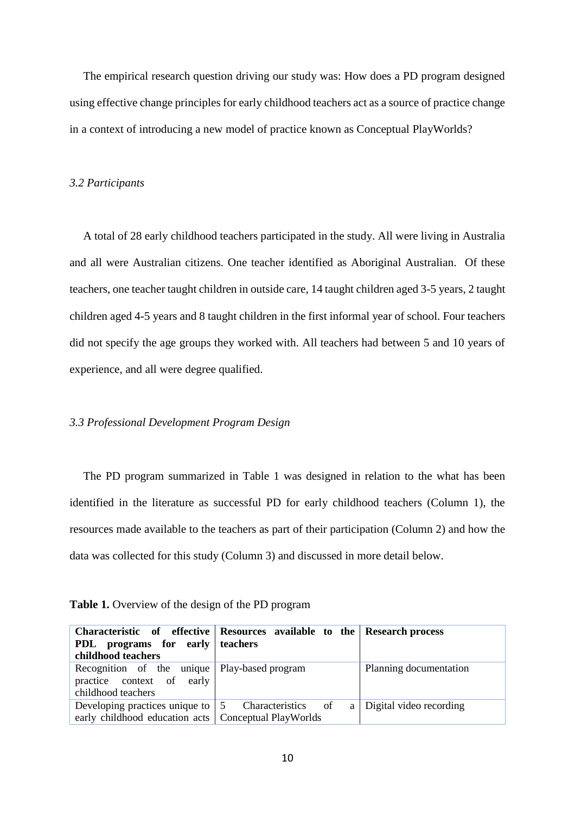The empirical research question driving our study was: How does a PD program designed using effective change principles for early childhood teachers act as a source of practice change in a context of introducing a new model of practice known as Conceptual PlayWorlds?

#### *3.2 Participants*

A total of 28 early childhood teachers participated in the study. All were living in Australia and all were Australian citizens. One teacher identified as Aboriginal Australian. Of these teachers, one teacher taught children in outside care, 14 taught children aged 3-5 years, 2 taught children aged 4-5 years and 8 taught children in the first informal year of school. Four teachers did not specify the age groups they worked with. All teachers had between 5 and 10 years of experience, and all were degree qualified.

### *3.3 Professional Development Program Design*

The PD program summarized in Table 1 was designed in relation to the what has been identified in the literature as successful PD for early childhood teachers (Column 1), the resources made available to the teachers as part of their participation (Column 2) and how the data was collected for this study (Column 3) and discussed in more detail below.

**Table 1.** Overview of the design of the PD program

|                                                                                          | Characteristic of effective Resources available to the Research process |                         |
|------------------------------------------------------------------------------------------|-------------------------------------------------------------------------|-------------------------|
| <b>PDL</b> programs for early teachers                                                   |                                                                         |                         |
| childhood teachers                                                                       |                                                                         |                         |
| Recognition of the unique Play-based program                                             |                                                                         | Planning documentation  |
| practice context of early                                                                |                                                                         |                         |
| childhood teachers                                                                       |                                                                         |                         |
| Developing practices unique to $\begin{bmatrix} 5 \\ 2 \end{bmatrix}$ Characteristics of | a                                                                       | Digital video recording |
| early childhood education acts   Conceptual PlayWorlds                                   |                                                                         |                         |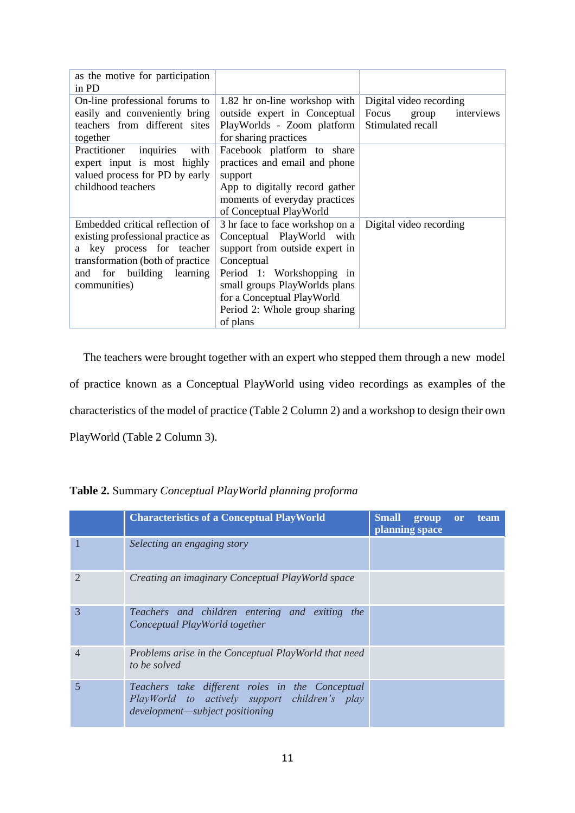| as the motive for participation<br>in PD                                                                                                                                               |                                                                                                                                                                                                                                                       |                                                                              |
|----------------------------------------------------------------------------------------------------------------------------------------------------------------------------------------|-------------------------------------------------------------------------------------------------------------------------------------------------------------------------------------------------------------------------------------------------------|------------------------------------------------------------------------------|
| On-line professional forums to<br>easily and conveniently bring<br>teachers from different sites<br>together                                                                           | 1.82 hr on-line workshop with<br>outside expert in Conceptual<br>PlayWorlds - Zoom platform<br>for sharing practices                                                                                                                                  | Digital video recording<br>Focus<br>interviews<br>group<br>Stimulated recall |
| inquiries<br>Practitioner<br>with<br>expert input is most highly<br>valued process for PD by early<br>childhood teachers                                                               | Facebook platform to share<br>practices and email and phone<br>support<br>App to digitally record gather<br>moments of everyday practices<br>of Conceptual PlayWorld                                                                                  |                                                                              |
| Embedded critical reflection of<br>existing professional practice as<br>a key process for teacher<br>transformation (both of practice)<br>for building learning<br>and<br>communities) | 3 hr face to face workshop on a<br>Conceptual PlayWorld with<br>support from outside expert in<br>Conceptual<br>Period 1: Workshopping in<br>small groups PlayWorlds plans<br>for a Conceptual PlayWorld<br>Period 2: Whole group sharing<br>of plans | Digital video recording                                                      |

The teachers were brought together with an expert who stepped them through a new model of practice known as a Conceptual PlayWorld using video recordings as examples of the characteristics of the model of practice (Table 2 Column 2) and a workshop to design their own PlayWorld (Table 2 Column 3).

**Table 2.** Summary *Conceptual PlayWorld planning proforma*

|   | <b>Characteristics of a Conceptual PlayWorld</b>                                                                                    | Small group or<br>planning space | team |
|---|-------------------------------------------------------------------------------------------------------------------------------------|----------------------------------|------|
|   | Selecting an engaging story                                                                                                         |                                  |      |
|   | Creating an imaginary Conceptual PlayWorld space                                                                                    |                                  |      |
| 3 | Teachers and children entering and exiting the<br>Conceptual PlayWorld together                                                     |                                  |      |
| 4 | Problems arise in the Conceptual PlayWorld that need<br>to be solved                                                                |                                  |      |
|   | Teachers take different roles in the Conceptual<br>PlayWorld to actively support children's play<br>development—subject positioning |                                  |      |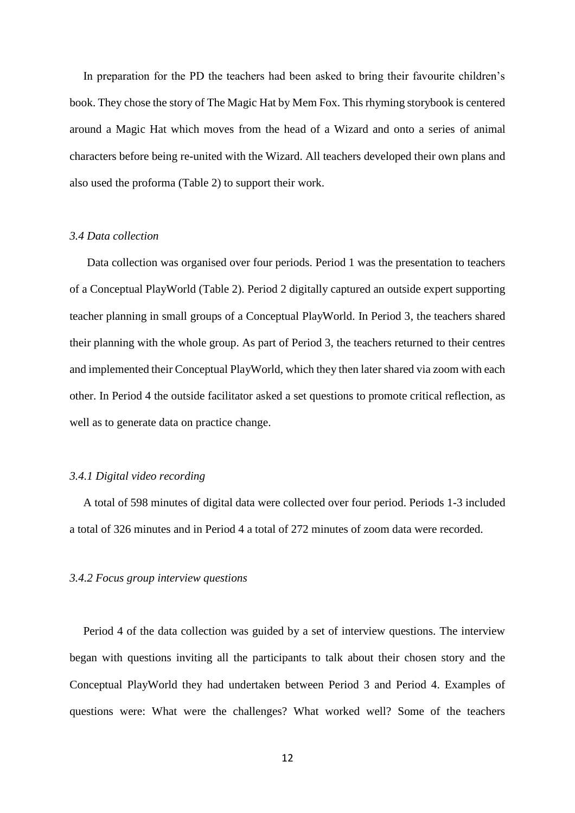In preparation for the PD the teachers had been asked to bring their favourite children's book. They chose the story of The Magic Hat by Mem Fox. This rhyming storybook is centered around a Magic Hat which moves from the head of a Wizard and onto a series of animal characters before being re-united with the Wizard. All teachers developed their own plans and also used the proforma (Table 2) to support their work.

#### *3.4 Data collection*

Data collection was organised over four periods. Period 1 was the presentation to teachers of a Conceptual PlayWorld (Table 2). Period 2 digitally captured an outside expert supporting teacher planning in small groups of a Conceptual PlayWorld. In Period 3, the teachers shared their planning with the whole group. As part of Period 3, the teachers returned to their centres and implemented their Conceptual PlayWorld, which they then later shared via zoom with each other. In Period 4 the outside facilitator asked a set questions to promote critical reflection, as well as to generate data on practice change.

## *3.4.1 Digital video recording*

A total of 598 minutes of digital data were collected over four period. Periods 1-3 included a total of 326 minutes and in Period 4 a total of 272 minutes of zoom data were recorded.

#### *3.4.2 Focus group interview questions*

Period 4 of the data collection was guided by a set of interview questions. The interview began with questions inviting all the participants to talk about their chosen story and the Conceptual PlayWorld they had undertaken between Period 3 and Period 4. Examples of questions were: What were the challenges? What worked well? Some of the teachers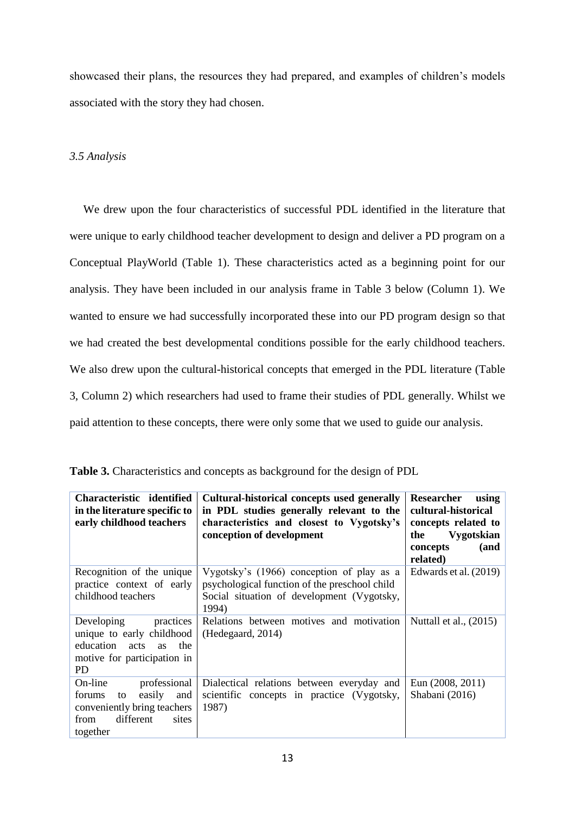showcased their plans, the resources they had prepared, and examples of children's models associated with the story they had chosen.

## *3.5 Analysis*

We drew upon the four characteristics of successful PDL identified in the literature that were unique to early childhood teacher development to design and deliver a PD program on a Conceptual PlayWorld (Table 1). These characteristics acted as a beginning point for our analysis. They have been included in our analysis frame in Table 3 below (Column 1). We wanted to ensure we had successfully incorporated these into our PD program design so that we had created the best developmental conditions possible for the early childhood teachers. We also drew upon the cultural-historical concepts that emerged in the PDL literature (Table 3, Column 2) which researchers had used to frame their studies of PDL generally. Whilst we paid attention to these concepts, there were only some that we used to guide our analysis.

| Characteristic identified<br>in the literature specific to<br>early childhood teachers                                            | Cultural-historical concepts used generally<br>in PDL studies generally relevant to the<br>characteristics and closest to Vygotsky's<br>conception of development | Researcher<br>using<br>cultural-historical<br>concepts related to<br><b>Vygotskian</b><br>the<br>concepts<br>(and<br>related) |
|-----------------------------------------------------------------------------------------------------------------------------------|-------------------------------------------------------------------------------------------------------------------------------------------------------------------|-------------------------------------------------------------------------------------------------------------------------------|
| Recognition of the unique<br>practice context of early<br>childhood teachers                                                      | Vygotsky's (1966) conception of play as a<br>psychological function of the preschool child<br>Social situation of development (Vygotsky,<br>1994)                 | Edwards et al. (2019)                                                                                                         |
| Developing<br>practices<br>unique to early childhood<br>education acts<br>the<br><b>as</b><br>motive for participation in<br>PD   | Relations between motives and motivation<br>(Hedegaard, 2014)                                                                                                     | Nuttall et al., $(2015)$                                                                                                      |
| On-line<br>professional<br>easily<br>forums<br>and<br>to<br>conveniently bring teachers<br>sites<br>different<br>from<br>together | Dialectical relations between everyday and<br>scientific concepts in practice (Vygotsky,<br>1987)                                                                 | Eun (2008, 2011)<br>Shabani (2016)                                                                                            |

**Table 3.** Characteristics and concepts as background for the design of PDL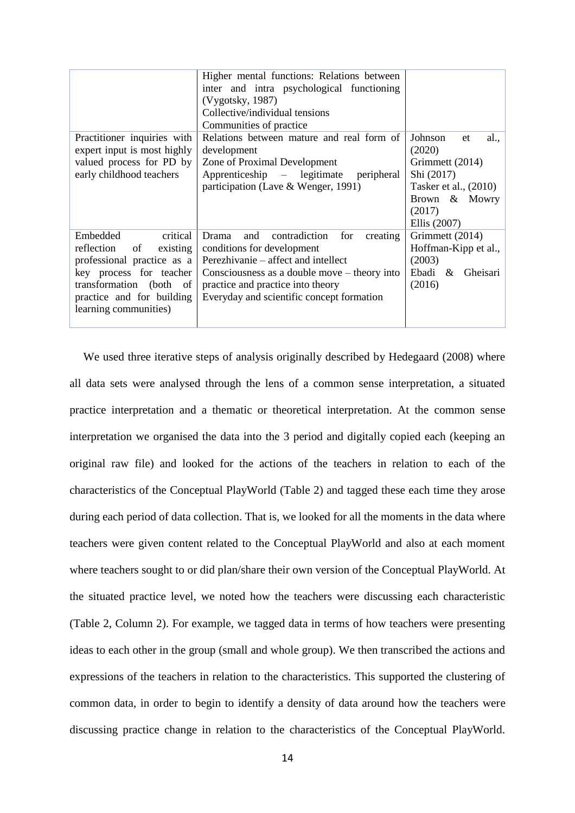|                                                                                                                                                                                                | Higher mental functions: Relations between<br>inter and intra psychological functioning<br>(Vygotsky, 1987)<br>Collective/individual tensions<br>Communities of practice                                                                                  |                                                                                                                                      |
|------------------------------------------------------------------------------------------------------------------------------------------------------------------------------------------------|-----------------------------------------------------------------------------------------------------------------------------------------------------------------------------------------------------------------------------------------------------------|--------------------------------------------------------------------------------------------------------------------------------------|
| Practitioner inquiries with<br>expert input is most highly<br>valued process for PD by<br>early childhood teachers                                                                             | Relations between mature and real form of<br>development<br>Zone of Proximal Development<br>Apprenticeship – legitimate<br>peripheral<br>participation (Lave & Wenger, 1991)                                                                              | Johnson<br>al.,<br>et<br>(2020)<br>Grimmett (2014)<br>Shi (2017)<br>Tasker et al., (2010)<br>Brown & Mowry<br>(2017)<br>Ellis (2007) |
| critical<br>Embedded<br>of<br>reflection<br>existing<br>professional practice as a<br>key process for teacher<br>transformation (both of<br>practice and for building<br>learning communities) | contradiction<br>for<br>Drama<br>and<br>creating<br>conditions for development<br>Perezhivanie – affect and intellect<br>Consciousness as a double move $-$ theory into<br>practice and practice into theory<br>Everyday and scientific concept formation | Grimmett (2014)<br>Hoffman-Kipp et al.,<br>(2003)<br>Ebadi &<br>Gheisari<br>(2016)                                                   |

We used three iterative steps of analysis originally described by Hedegaard (2008) where all data sets were analysed through the lens of a common sense interpretation, a situated practice interpretation and a thematic or theoretical interpretation. At the common sense interpretation we organised the data into the 3 period and digitally copied each (keeping an original raw file) and looked for the actions of the teachers in relation to each of the characteristics of the Conceptual PlayWorld (Table 2) and tagged these each time they arose during each period of data collection. That is, we looked for all the moments in the data where teachers were given content related to the Conceptual PlayWorld and also at each moment where teachers sought to or did plan/share their own version of the Conceptual PlayWorld. At the situated practice level, we noted how the teachers were discussing each characteristic (Table 2, Column 2). For example, we tagged data in terms of how teachers were presenting ideas to each other in the group (small and whole group). We then transcribed the actions and expressions of the teachers in relation to the characteristics. This supported the clustering of common data, in order to begin to identify a density of data around how the teachers were discussing practice change in relation to the characteristics of the Conceptual PlayWorld.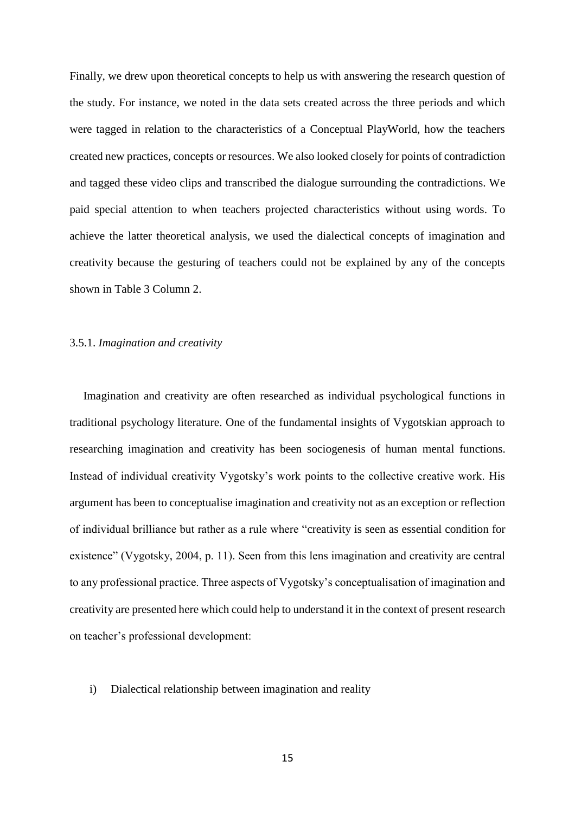Finally, we drew upon theoretical concepts to help us with answering the research question of the study. For instance, we noted in the data sets created across the three periods and which were tagged in relation to the characteristics of a Conceptual PlayWorld, how the teachers created new practices, concepts or resources. We also looked closely for points of contradiction and tagged these video clips and transcribed the dialogue surrounding the contradictions. We paid special attention to when teachers projected characteristics without using words. To achieve the latter theoretical analysis, we used the dialectical concepts of imagination and creativity because the gesturing of teachers could not be explained by any of the concepts shown in Table 3 Column 2.

### 3.5.1. *Imagination and creativity*

Imagination and creativity are often researched as individual psychological functions in traditional psychology literature. One of the fundamental insights of Vygotskian approach to researching imagination and creativity has been sociogenesis of human mental functions. Instead of individual creativity Vygotsky's work points to the collective creative work. His argument has been to conceptualise imagination and creativity not as an exception or reflection of individual brilliance but rather as a rule where "creativity is seen as essential condition for existence" (Vygotsky, 2004, p. 11). Seen from this lens imagination and creativity are central to any professional practice. Three aspects of Vygotsky's conceptualisation of imagination and creativity are presented here which could help to understand it in the context of present research on teacher's professional development:

#### i) Dialectical relationship between imagination and reality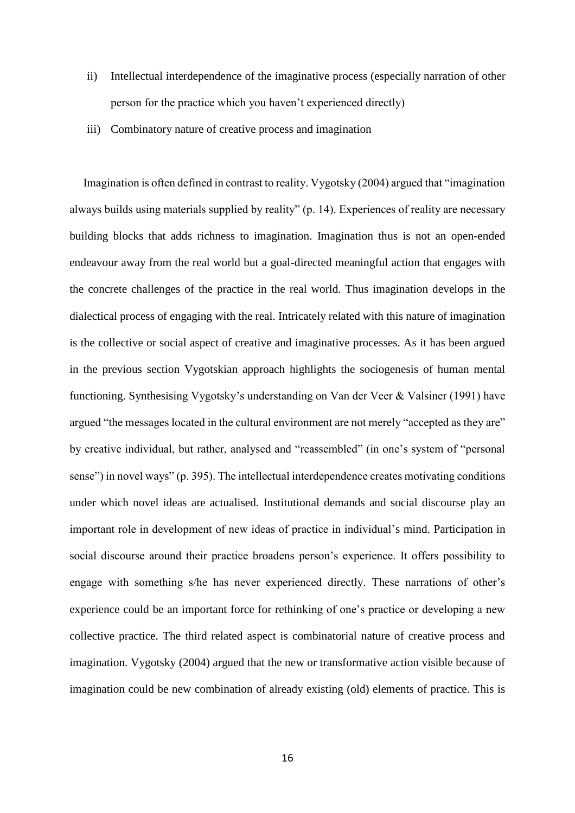- ii) Intellectual interdependence of the imaginative process (especially narration of other person for the practice which you haven't experienced directly)
- iii) Combinatory nature of creative process and imagination

Imagination is often defined in contrast to reality. Vygotsky (2004) argued that "imagination always builds using materials supplied by reality" (p. 14). Experiences of reality are necessary building blocks that adds richness to imagination. Imagination thus is not an open-ended endeavour away from the real world but a goal-directed meaningful action that engages with the concrete challenges of the practice in the real world. Thus imagination develops in the dialectical process of engaging with the real. Intricately related with this nature of imagination is the collective or social aspect of creative and imaginative processes. As it has been argued in the previous section Vygotskian approach highlights the sociogenesis of human mental functioning. Synthesising Vygotsky's understanding on Van der Veer & Valsiner (1991) have argued "the messages located in the cultural environment are not merely "accepted as they are" by creative individual, but rather, analysed and "reassembled" (in one's system of "personal sense") in novel ways" (p. 395). The intellectual interdependence creates motivating conditions under which novel ideas are actualised. Institutional demands and social discourse play an important role in development of new ideas of practice in individual's mind. Participation in social discourse around their practice broadens person's experience. It offers possibility to engage with something s/he has never experienced directly. These narrations of other's experience could be an important force for rethinking of one's practice or developing a new collective practice. The third related aspect is combinatorial nature of creative process and imagination. Vygotsky (2004) argued that the new or transformative action visible because of imagination could be new combination of already existing (old) elements of practice. This is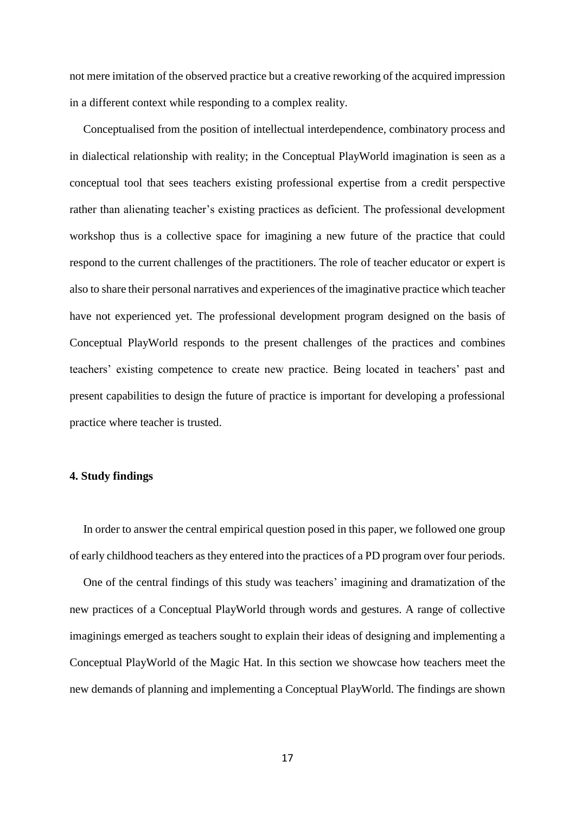not mere imitation of the observed practice but a creative reworking of the acquired impression in a different context while responding to a complex reality.

Conceptualised from the position of intellectual interdependence, combinatory process and in dialectical relationship with reality; in the Conceptual PlayWorld imagination is seen as a conceptual tool that sees teachers existing professional expertise from a credit perspective rather than alienating teacher's existing practices as deficient. The professional development workshop thus is a collective space for imagining a new future of the practice that could respond to the current challenges of the practitioners. The role of teacher educator or expert is also to share their personal narratives and experiences of the imaginative practice which teacher have not experienced yet. The professional development program designed on the basis of Conceptual PlayWorld responds to the present challenges of the practices and combines teachers' existing competence to create new practice. Being located in teachers' past and present capabilities to design the future of practice is important for developing a professional practice where teacher is trusted.

#### **4. Study findings**

In order to answer the central empirical question posed in this paper, we followed one group of early childhood teachers as they entered into the practices of a PD program over four periods.

One of the central findings of this study was teachers' imagining and dramatization of the new practices of a Conceptual PlayWorld through words and gestures. A range of collective imaginings emerged as teachers sought to explain their ideas of designing and implementing a Conceptual PlayWorld of the Magic Hat. In this section we showcase how teachers meet the new demands of planning and implementing a Conceptual PlayWorld. The findings are shown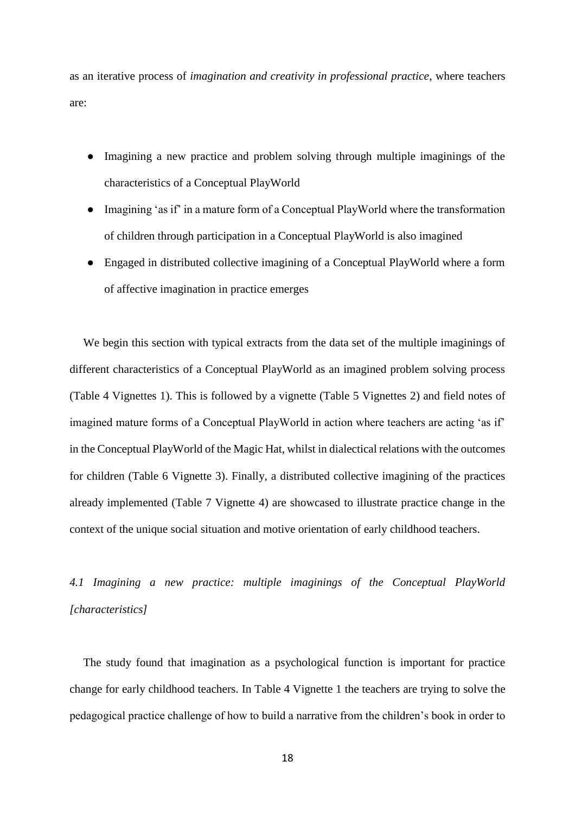as an iterative process of *imagination and creativity in professional practice*, where teachers are:

- Imagining a new practice and problem solving through multiple imaginings of the characteristics of a Conceptual PlayWorld
- Imagining 'as if' in a mature form of a Conceptual PlayWorld where the transformation of children through participation in a Conceptual PlayWorld is also imagined
- Engaged in distributed collective imagining of a Conceptual PlayWorld where a form of affective imagination in practice emerges

We begin this section with typical extracts from the data set of the multiple imaginings of different characteristics of a Conceptual PlayWorld as an imagined problem solving process (Table 4 Vignettes 1). This is followed by a vignette (Table 5 Vignettes 2) and field notes of imagined mature forms of a Conceptual PlayWorld in action where teachers are acting 'as if' in the Conceptual PlayWorld of the Magic Hat, whilst in dialectical relations with the outcomes for children (Table 6 Vignette 3). Finally, a distributed collective imagining of the practices already implemented (Table 7 Vignette 4) are showcased to illustrate practice change in the context of the unique social situation and motive orientation of early childhood teachers.

*4.1 Imagining a new practice: multiple imaginings of the Conceptual PlayWorld [characteristics]*

The study found that imagination as a psychological function is important for practice change for early childhood teachers. In Table 4 Vignette 1 the teachers are trying to solve the pedagogical practice challenge of how to build a narrative from the children's book in order to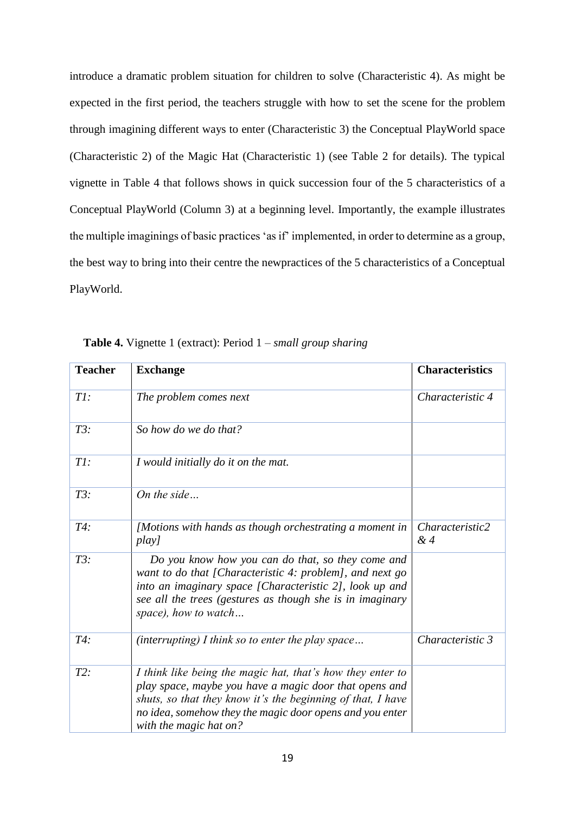introduce a dramatic problem situation for children to solve (Characteristic 4). As might be expected in the first period, the teachers struggle with how to set the scene for the problem through imagining different ways to enter (Characteristic 3) the Conceptual PlayWorld space (Characteristic 2) of the Magic Hat (Characteristic 1) (see Table 2 for details). The typical vignette in Table 4 that follows shows in quick succession four of the 5 characteristics of a Conceptual PlayWorld (Column 3) at a beginning level. Importantly, the example illustrates the multiple imaginings of basic practices 'as if' implemented, in order to determine as a group, the best way to bring into their centre the newpractices of the 5 characteristics of a Conceptual PlayWorld.

| <b>Teacher</b> | <b>Exchange</b>                                                                                                                                                                                                                                                           | <b>Characteristics</b> |
|----------------|---------------------------------------------------------------------------------------------------------------------------------------------------------------------------------------------------------------------------------------------------------------------------|------------------------|
| TI:            | The problem comes next                                                                                                                                                                                                                                                    | Characteristic 4       |
| $T3$ :         | So how do we do that?                                                                                                                                                                                                                                                     |                        |
| TI:            | I would initially do it on the mat.                                                                                                                                                                                                                                       |                        |
| $T3$ :         | On the side                                                                                                                                                                                                                                                               |                        |
| T4:            | [Motions with hands as though orchestrating a moment in<br>play]                                                                                                                                                                                                          | Characteristic2<br>&4  |
| $T3$ :         | Do you know how you can do that, so they come and<br>want to do that [Characteristic 4: problem], and next go<br>into an imaginary space [Characteristic 2], look up and<br>see all the trees (gestures as though she is in imaginary<br>space), how to watch             |                        |
| T4:            | (interrupting) I think so to enter the play space                                                                                                                                                                                                                         | Characteristic 3       |
| $T2$ :         | I think like being the magic hat, that's how they enter to<br>play space, maybe you have a magic door that opens and<br>shuts, so that they know it's the beginning of that, I have<br>no idea, somehow they the magic door opens and you enter<br>with the magic hat on? |                        |

**Table 4.** Vignette 1 (extract): Period 1 – *small group sharing*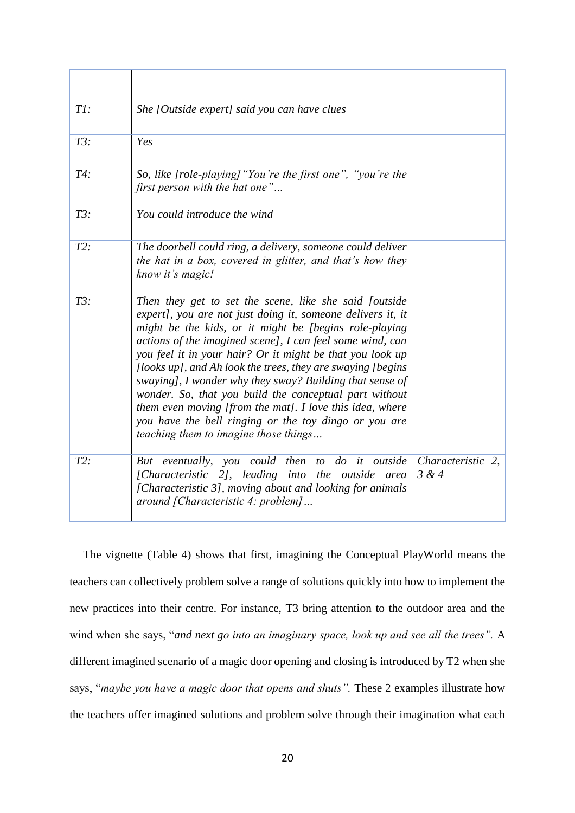| TI:    | She [Outside expert] said you can have clues                                                                                                                                                                                                                                                                                                                                                                                                                                                                                                                                                                                                                  |                            |
|--------|---------------------------------------------------------------------------------------------------------------------------------------------------------------------------------------------------------------------------------------------------------------------------------------------------------------------------------------------------------------------------------------------------------------------------------------------------------------------------------------------------------------------------------------------------------------------------------------------------------------------------------------------------------------|----------------------------|
| $T3$ : | Yes                                                                                                                                                                                                                                                                                                                                                                                                                                                                                                                                                                                                                                                           |                            |
| T4:    | So, like [role-playing] "You're the first one", "you're the<br>first person with the hat one"                                                                                                                                                                                                                                                                                                                                                                                                                                                                                                                                                                 |                            |
| T3:    | You could introduce the wind                                                                                                                                                                                                                                                                                                                                                                                                                                                                                                                                                                                                                                  |                            |
| $T2$ : | The doorbell could ring, a delivery, someone could deliver<br>the hat in a box, covered in glitter, and that's how they<br>know it's magic!                                                                                                                                                                                                                                                                                                                                                                                                                                                                                                                   |                            |
| $T3$ : | Then they get to set the scene, like she said foutside<br>expert], you are not just doing it, someone delivers it, it<br>might be the kids, or it might be [begins role-playing<br>actions of the imagined scene], I can feel some wind, can<br>you feel it in your hair? Or it might be that you look up<br>[looks up], and Ah look the trees, they are swaying [begins]<br>swaying], I wonder why they sway? Building that sense of<br>wonder. So, that you build the conceptual part without<br>them even moving [from the mat]. I love this idea, where<br>you have the bell ringing or the toy dingo or you are<br>teaching them to imagine those things |                            |
| $T2$ : | But eventually, you could then to do it outside<br>[Characteristic 2], leading into the outside area<br>[Characteristic 3], moving about and looking for animals<br>around [Characteristic 4: problem]                                                                                                                                                                                                                                                                                                                                                                                                                                                        | Characteristic 2,<br>3 & 4 |

The vignette (Table 4) shows that first, imagining the Conceptual PlayWorld means the teachers can collectively problem solve a range of solutions quickly into how to implement the new practices into their centre. For instance, T3 bring attention to the outdoor area and the wind when she says, "*and next go into an imaginary space, look up and see all the trees".* A different imagined scenario of a magic door opening and closing is introduced by T2 when she says, "*maybe you have a magic door that opens and shuts".* These 2 examples illustrate how the teachers offer imagined solutions and problem solve through their imagination what each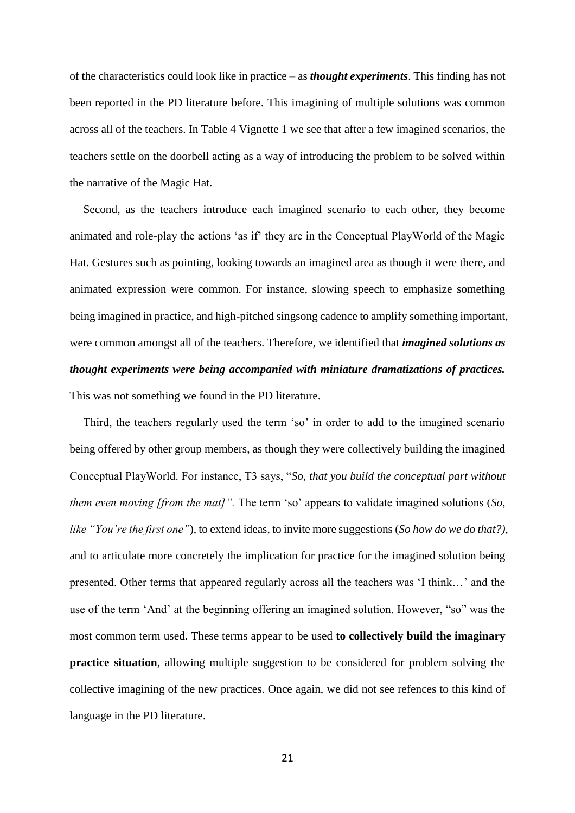of the characteristics could look like in practice – as *thought experiments*. This finding has not been reported in the PD literature before. This imagining of multiple solutions was common across all of the teachers. In Table 4 Vignette 1 we see that after a few imagined scenarios, the teachers settle on the doorbell acting as a way of introducing the problem to be solved within the narrative of the Magic Hat.

Second, as the teachers introduce each imagined scenario to each other, they become animated and role-play the actions 'as if' they are in the Conceptual PlayWorld of the Magic Hat. Gestures such as pointing, looking towards an imagined area as though it were there, and animated expression were common. For instance, slowing speech to emphasize something being imagined in practice, and high-pitched singsong cadence to amplify something important, were common amongst all of the teachers. Therefore, we identified that *imagined solutions as thought experiments were being accompanied with miniature dramatizations of practices.*  This was not something we found in the PD literature.

Third, the teachers regularly used the term 'so' in order to add to the imagined scenario being offered by other group members, as though they were collectively building the imagined Conceptual PlayWorld. For instance, T3 says, "*So, that you build the conceptual part without them even moving [from the mat]".* The term 'so' appears to validate imagined solutions (*So, like "You're the first one"*), to extend ideas, to invite more suggestions (*So how do we do that?),*  and to articulate more concretely the implication for practice for the imagined solution being presented. Other terms that appeared regularly across all the teachers was 'I think…' and the use of the term 'And' at the beginning offering an imagined solution. However, "so" was the most common term used. These terms appear to be used **to collectively build the imaginary practice situation**, allowing multiple suggestion to be considered for problem solving the collective imagining of the new practices. Once again, we did not see refences to this kind of language in the PD literature.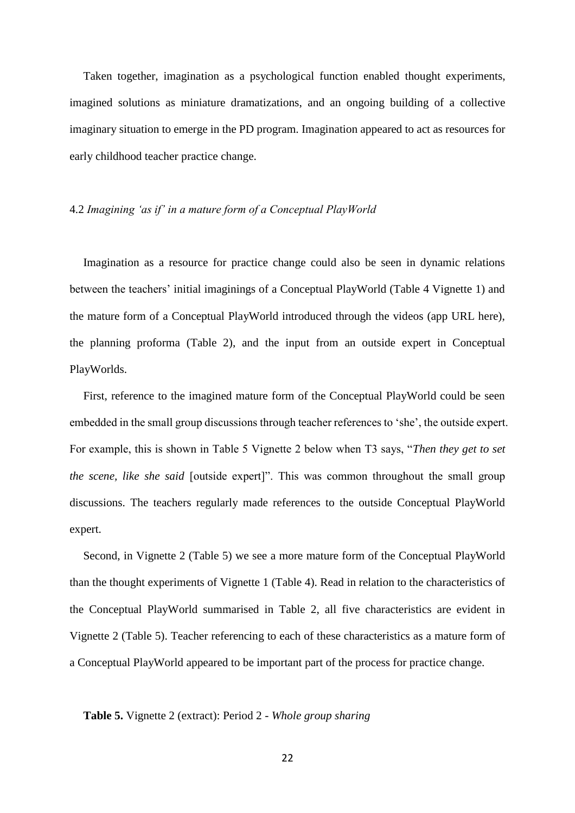Taken together, imagination as a psychological function enabled thought experiments, imagined solutions as miniature dramatizations, and an ongoing building of a collective imaginary situation to emerge in the PD program. Imagination appeared to act as resources for early childhood teacher practice change.

### 4.2 *Imagining 'as if' in a mature form of a Conceptual PlayWorld*

Imagination as a resource for practice change could also be seen in dynamic relations between the teachers' initial imaginings of a Conceptual PlayWorld (Table 4 Vignette 1) and the mature form of a Conceptual PlayWorld introduced through the videos (app URL here), the planning proforma (Table 2), and the input from an outside expert in Conceptual PlayWorlds.

First, reference to the imagined mature form of the Conceptual PlayWorld could be seen embedded in the small group discussions through teacher references to 'she', the outside expert. For example, this is shown in Table 5 Vignette 2 below when T3 says, "*Then they get to set the scene, like she said* [outside expert]". This was common throughout the small group discussions. The teachers regularly made references to the outside Conceptual PlayWorld expert.

Second, in Vignette 2 (Table 5) we see a more mature form of the Conceptual PlayWorld than the thought experiments of Vignette 1 (Table 4). Read in relation to the characteristics of the Conceptual PlayWorld summarised in Table 2, all five characteristics are evident in Vignette 2 (Table 5). Teacher referencing to each of these characteristics as a mature form of a Conceptual PlayWorld appeared to be important part of the process for practice change.

### **Table 5.** Vignette 2 (extract): Period 2 - *Whole group sharing*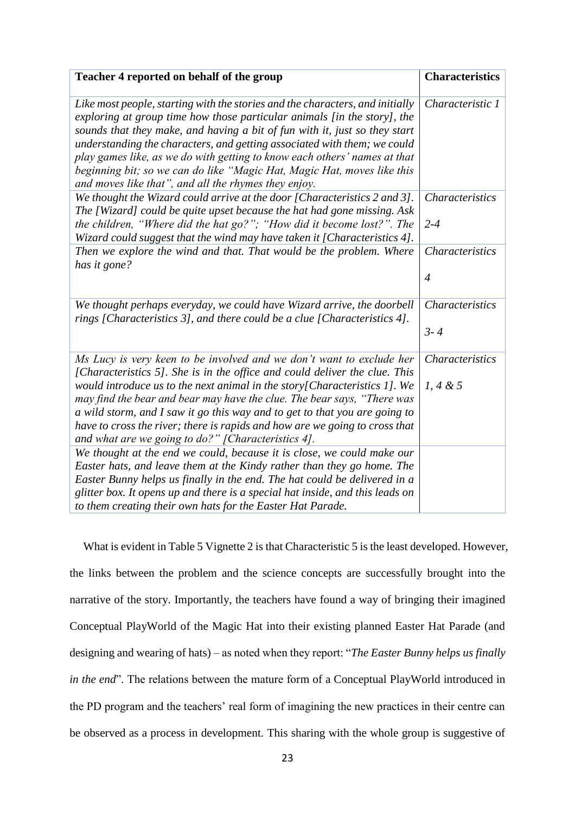| Teacher 4 reported on behalf of the group                                                                                                                                                                                                                                                                                                                                                                                                                                                                                           | <b>Characteristics</b>             |
|-------------------------------------------------------------------------------------------------------------------------------------------------------------------------------------------------------------------------------------------------------------------------------------------------------------------------------------------------------------------------------------------------------------------------------------------------------------------------------------------------------------------------------------|------------------------------------|
| Like most people, starting with the stories and the characters, and initially<br>exploring at group time how those particular animals [in the story], the<br>sounds that they make, and having a bit of fun with it, just so they start<br>understanding the characters, and getting associated with them; we could<br>play games like, as we do with getting to know each others' names at that<br>beginning bit; so we can do like "Magic Hat, Magic Hat, moves like this<br>and moves like that", and all the rhymes they enjoy. | Characteristic 1                   |
| We thought the Wizard could arrive at the door [Characteristics 2 and 3].<br>The [Wizard] could be quite upset because the hat had gone missing. Ask<br>the children, "Where did the hat go?"; "How did it become lost?". The<br>Wizard could suggest that the wind may have taken it [Characteristics 4].                                                                                                                                                                                                                          | <b>Characteristics</b><br>$2 - 4$  |
| Then we explore the wind and that. That would be the problem. Where<br>has it gone?                                                                                                                                                                                                                                                                                                                                                                                                                                                 | Characteristics<br>$\overline{4}$  |
| We thought perhaps everyday, we could have Wizard arrive, the doorbell<br>rings [Characteristics 3], and there could be a clue [Characteristics 4].                                                                                                                                                                                                                                                                                                                                                                                 | <b>Characteristics</b><br>$3 - 4$  |
| Ms Lucy is very keen to be involved and we don't want to exclude her<br>[Characteristics 5]. She is in the office and could deliver the clue. This<br>would introduce us to the next animal in the story [Characteristics $1$ ]. We<br>may find the bear and bear may have the clue. The bear says, "There was<br>a wild storm, and I saw it go this way and to get to that you are going to<br>have to cross the river; there is rapids and how are we going to cross that<br>and what are we going to do?" [Characteristics 4].   | <b>Characteristics</b><br>1, 4 & 5 |
| We thought at the end we could, because it is close, we could make our<br>Easter hats, and leave them at the Kindy rather than they go home. The<br>Easter Bunny helps us finally in the end. The hat could be delivered in a<br>glitter box. It opens up and there is a special hat inside, and this leads on<br>to them creating their own hats for the Easter Hat Parade.                                                                                                                                                        |                                    |

What is evident in Table 5 Vignette 2 is that Characteristic 5 is the least developed. However, the links between the problem and the science concepts are successfully brought into the narrative of the story. Importantly, the teachers have found a way of bringing their imagined Conceptual PlayWorld of the Magic Hat into their existing planned Easter Hat Parade (and designing and wearing of hats) – as noted when they report: "*The Easter Bunny helps us finally in the end*". The relations between the mature form of a Conceptual PlayWorld introduced in the PD program and the teachers' real form of imagining the new practices in their centre can be observed as a process in development. This sharing with the whole group is suggestive of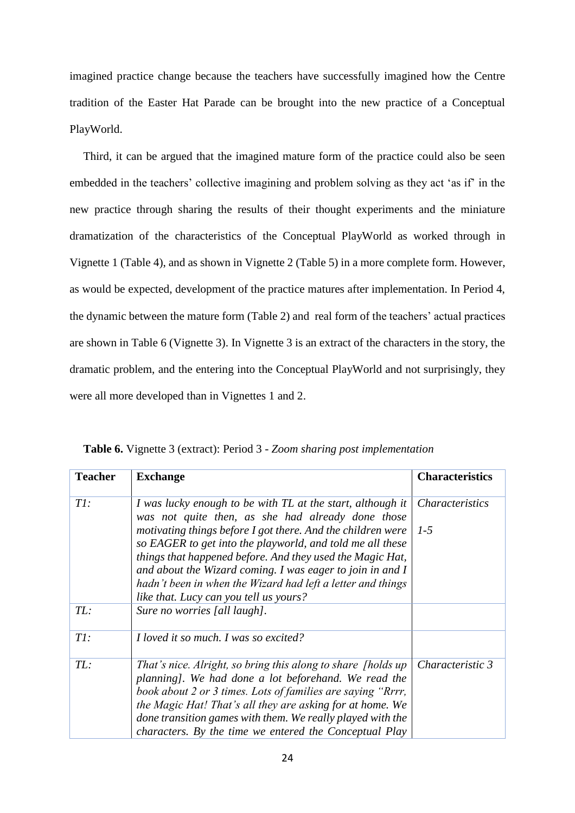imagined practice change because the teachers have successfully imagined how the Centre tradition of the Easter Hat Parade can be brought into the new practice of a Conceptual PlayWorld.

Third, it can be argued that the imagined mature form of the practice could also be seen embedded in the teachers' collective imagining and problem solving as they act 'as if' in the new practice through sharing the results of their thought experiments and the miniature dramatization of the characteristics of the Conceptual PlayWorld as worked through in Vignette 1 (Table 4), and as shown in Vignette 2 (Table 5) in a more complete form. However, as would be expected, development of the practice matures after implementation. In Period 4, the dynamic between the mature form (Table 2) and real form of the teachers' actual practices are shown in Table 6 (Vignette 3). In Vignette 3 is an extract of the characters in the story, the dramatic problem, and the entering into the Conceptual PlayWorld and not surprisingly, they were all more developed than in Vignettes 1 and 2.

| <b>Teacher</b> | <b>Exchange</b>                                                                                                                                                                       | <b>Characteristics</b> |
|----------------|---------------------------------------------------------------------------------------------------------------------------------------------------------------------------------------|------------------------|
| TI:            | I was lucky enough to be with TL at the start, although it<br>was not quite then, as she had already done those                                                                       | <b>Characteristics</b> |
|                | motivating things before I got there. And the children were<br>so EAGER to get into the playworld, and told me all these                                                              | $1 - 5$                |
|                | things that happened before. And they used the Magic Hat,<br>and about the Wizard coming. I was eager to join in and I<br>hadn't been in when the Wizard had left a letter and things |                        |
|                | like that. Lucy can you tell us yours?                                                                                                                                                |                        |
| TL:            | Sure no worries [all laugh].                                                                                                                                                          |                        |
| TI:            | I loved it so much. I was so excited?                                                                                                                                                 |                        |
| TL:            | That's nice. Alright, so bring this along to share [holds up]<br>planning]. We had done a lot beforehand. We read the                                                                 | Characteristic 3       |
|                | book about 2 or 3 times. Lots of families are saying "Rrrr,                                                                                                                           |                        |
|                | the Magic Hat! That's all they are asking for at home. We                                                                                                                             |                        |
|                | done transition games with them. We really played with the                                                                                                                            |                        |
|                | characters. By the time we entered the Conceptual Play                                                                                                                                |                        |

**Table 6.** Vignette 3 (extract): Period 3 - *Zoom sharing post implementation*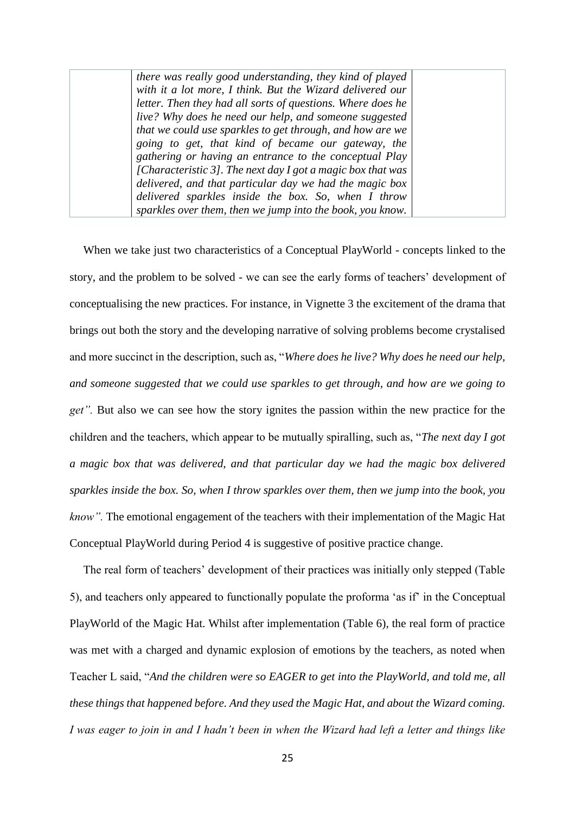*there was really good understanding, they kind of played with it a lot more, I think. But the Wizard delivered our letter. Then they had all sorts of questions. Where does he live? Why does he need our help, and someone suggested that we could use sparkles to get through, and how are we going to get, that kind of became our gateway, the gathering or having an entrance to the conceptual Play [Characteristic 3]. The next day I got a magic box that was delivered, and that particular day we had the magic box delivered sparkles inside the box. So, when I throw sparkles over them, then we jump into the book, you know.*

When we take just two characteristics of a Conceptual PlayWorld - concepts linked to the story, and the problem to be solved - we can see the early forms of teachers' development of conceptualising the new practices. For instance, in Vignette 3 the excitement of the drama that brings out both the story and the developing narrative of solving problems become crystalised and more succinct in the description, such as, "*Where does he live? Why does he need our help, and someone suggested that we could use sparkles to get through, and how are we going to get".* But also we can see how the story ignites the passion within the new practice for the children and the teachers, which appear to be mutually spiralling, such as, "*The next day I got a magic box that was delivered, and that particular day we had the magic box delivered sparkles inside the box. So, when I throw sparkles over them, then we jump into the book, you know".* The emotional engagement of the teachers with their implementation of the Magic Hat Conceptual PlayWorld during Period 4 is suggestive of positive practice change.

The real form of teachers' development of their practices was initially only stepped (Table 5), and teachers only appeared to functionally populate the proforma 'as if' in the Conceptual PlayWorld of the Magic Hat. Whilst after implementation (Table 6), the real form of practice was met with a charged and dynamic explosion of emotions by the teachers, as noted when Teacher L said, "*And the children were so EAGER to get into the PlayWorld, and told me, all these things that happened before. And they used the Magic Hat, and about the Wizard coming. I was eager to join in and I hadn't been in when the Wizard had left a letter and things like*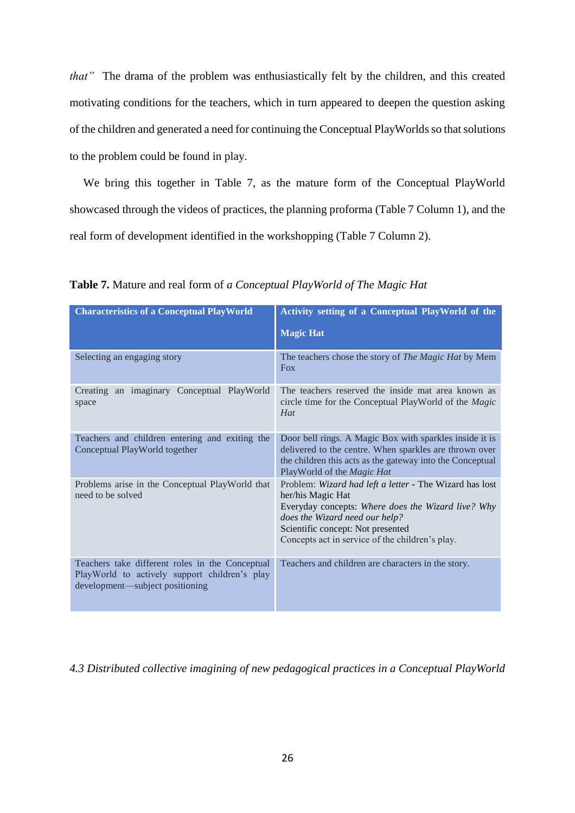*that"* The drama of the problem was enthusiastically felt by the children, and this created motivating conditions for the teachers, which in turn appeared to deepen the question asking of the children and generated a need for continuing the Conceptual PlayWorlds so that solutions to the problem could be found in play.

We bring this together in Table 7, as the mature form of the Conceptual PlayWorld showcased through the videos of practices, the planning proforma (Table 7 Column 1), and the real form of development identified in the workshopping (Table 7 Column 2).

| <b>Characteristics of a Conceptual PlayWorld</b>                                                                                    | Activity setting of a Conceptual PlayWorld of the                                                                                                                                                                                                            |
|-------------------------------------------------------------------------------------------------------------------------------------|--------------------------------------------------------------------------------------------------------------------------------------------------------------------------------------------------------------------------------------------------------------|
|                                                                                                                                     | <b>Magic Hat</b>                                                                                                                                                                                                                                             |
| Selecting an engaging story                                                                                                         | The teachers chose the story of The Magic Hat by Mem<br><b>Fox</b>                                                                                                                                                                                           |
| Creating an imaginary Conceptual PlayWorld<br>space                                                                                 | The teachers reserved the inside mat area known as<br>circle time for the Conceptual PlayWorld of the <i>Magic</i><br>Hat                                                                                                                                    |
| Teachers and children entering and exiting the<br>Conceptual PlayWorld together                                                     | Door bell rings. A Magic Box with sparkles inside it is<br>delivered to the centre. When sparkles are thrown over<br>the children this acts as the gateway into the Conceptual<br>PlayWorld of the Magic Hat                                                 |
| Problems arise in the Conceptual PlayWorld that<br>need to be solved                                                                | Problem: Wizard had left a letter - The Wizard has lost<br>her/his Magic Hat<br>Everyday concepts: Where does the Wizard live? Why<br>does the Wizard need our help?<br>Scientific concept: Not presented<br>Concepts act in service of the children's play. |
| Teachers take different roles in the Conceptual<br>PlayWorld to actively support children's play<br>development—subject positioning | Teachers and children are characters in the story.                                                                                                                                                                                                           |

**Table 7.** Mature and real form of *a Conceptual PlayWorld of The Magic Hat*

*4.3 Distributed collective imagining of new pedagogical practices in a Conceptual PlayWorld*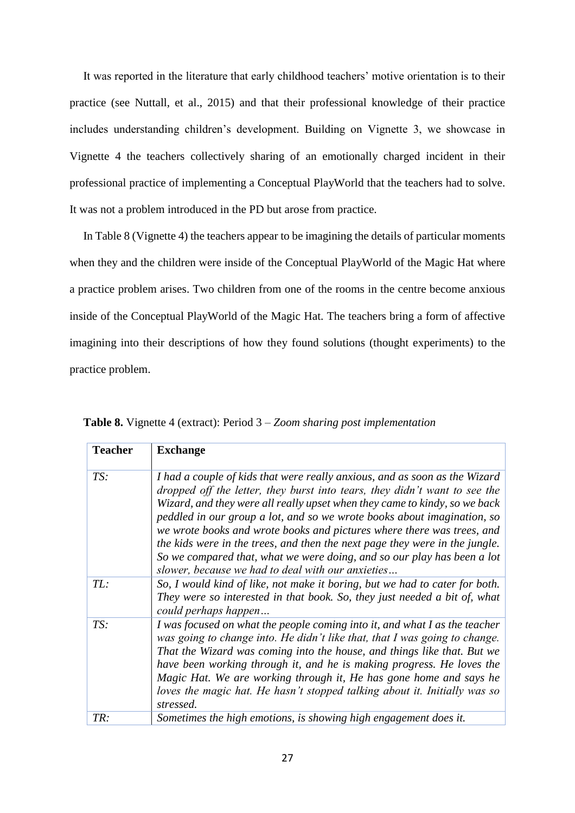It was reported in the literature that early childhood teachers' motive orientation is to their practice (see Nuttall, et al., 2015) and that their professional knowledge of their practice includes understanding children's development. Building on Vignette 3, we showcase in Vignette 4 the teachers collectively sharing of an emotionally charged incident in their professional practice of implementing a Conceptual PlayWorld that the teachers had to solve. It was not a problem introduced in the PD but arose from practice.

In Table 8 (Vignette 4) the teachers appear to be imagining the details of particular moments when they and the children were inside of the Conceptual PlayWorld of the Magic Hat where a practice problem arises. Two children from one of the rooms in the centre become anxious inside of the Conceptual PlayWorld of the Magic Hat. The teachers bring a form of affective imagining into their descriptions of how they found solutions (thought experiments) to the practice problem.

| <b>Teacher</b> | <b>Exchange</b>                                                                                                                                                                                                                                                                                                                                                                                                                                                                                                                                                                                            |
|----------------|------------------------------------------------------------------------------------------------------------------------------------------------------------------------------------------------------------------------------------------------------------------------------------------------------------------------------------------------------------------------------------------------------------------------------------------------------------------------------------------------------------------------------------------------------------------------------------------------------------|
| TS:            | I had a couple of kids that were really anxious, and as soon as the Wizard<br>dropped off the letter, they burst into tears, they didn't want to see the<br>Wizard, and they were all really upset when they came to kindy, so we back<br>peddled in our group a lot, and so we wrote books about imagination, so<br>we wrote books and wrote books and pictures where there was trees, and<br>the kids were in the trees, and then the next page they were in the jungle.<br>So we compared that, what we were doing, and so our play has been a lot<br>slower, because we had to deal with our anxieties |
| TL:            | So, I would kind of like, not make it boring, but we had to cater for both.<br>They were so interested in that book. So, they just needed a bit of, what<br>could perhaps happen                                                                                                                                                                                                                                                                                                                                                                                                                           |
| TS:            | I was focused on what the people coming into it, and what I as the teacher<br>was going to change into. He didn't like that, that I was going to change.<br>That the Wizard was coming into the house, and things like that. But we<br>have been working through it, and he is making progress. He loves the<br>Magic Hat. We are working through it, He has gone home and says he<br>loves the magic hat. He hasn't stopped talking about it. Initially was so<br>stressed.                                                                                                                               |
| TR:            | Sometimes the high emotions, is showing high engagement does it.                                                                                                                                                                                                                                                                                                                                                                                                                                                                                                                                           |

**Table 8.** Vignette 4 (extract): Period 3 – *Zoom sharing post implementation*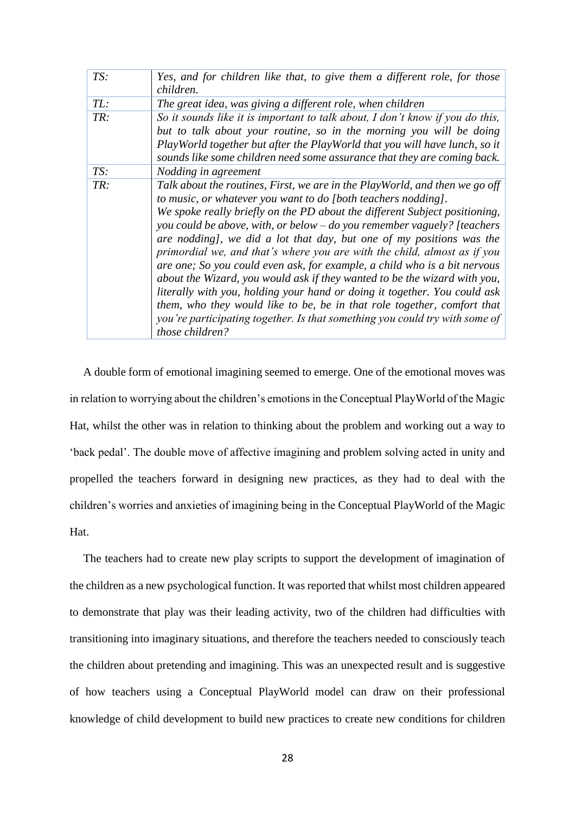| TS: | Yes, and for children like that, to give them a different role, for those<br>children.                                                                                                                                                                                                                                                                                                                                                                                                                                                                                                                                                                                                                                                                                                                                                                                        |
|-----|-------------------------------------------------------------------------------------------------------------------------------------------------------------------------------------------------------------------------------------------------------------------------------------------------------------------------------------------------------------------------------------------------------------------------------------------------------------------------------------------------------------------------------------------------------------------------------------------------------------------------------------------------------------------------------------------------------------------------------------------------------------------------------------------------------------------------------------------------------------------------------|
| TL: | The great idea, was giving a different role, when children                                                                                                                                                                                                                                                                                                                                                                                                                                                                                                                                                                                                                                                                                                                                                                                                                    |
| TR: | So it sounds like it is important to talk about, I don't know if you do this,<br>but to talk about your routine, so in the morning you will be doing<br>PlayWorld together but after the PlayWorld that you will have lunch, so it<br>sounds like some children need some assurance that they are coming back.                                                                                                                                                                                                                                                                                                                                                                                                                                                                                                                                                                |
| TS: | Nodding in agreement                                                                                                                                                                                                                                                                                                                                                                                                                                                                                                                                                                                                                                                                                                                                                                                                                                                          |
| TR: | Talk about the routines, First, we are in the PlayWorld, and then we go off<br>to music, or whatever you want to do [both teachers nodding].<br>We spoke really briefly on the PD about the different Subject positioning,<br>you could be above, with, or below – do you remember vaguely? [teachers<br>are nodding], we did a lot that day, but one of my positions was the<br>primordial we, and that's where you are with the child, almost as if you<br>are one; So you could even ask, for example, a child who is a bit nervous<br>about the Wizard, you would ask if they wanted to be the wizard with you,<br>literally with you, holding your hand or doing it together. You could ask<br>them, who they would like to be, be in that role together, comfort that<br>you're participating together. Is that something you could try with some of<br>those children? |

A double form of emotional imagining seemed to emerge. One of the emotional moves was in relation to worrying about the children's emotions in the Conceptual PlayWorld of the Magic Hat, whilst the other was in relation to thinking about the problem and working out a way to 'back pedal'. The double move of affective imagining and problem solving acted in unity and propelled the teachers forward in designing new practices, as they had to deal with the children's worries and anxieties of imagining being in the Conceptual PlayWorld of the Magic Hat.

The teachers had to create new play scripts to support the development of imagination of the children as a new psychological function. It was reported that whilst most children appeared to demonstrate that play was their leading activity, two of the children had difficulties with transitioning into imaginary situations, and therefore the teachers needed to consciously teach the children about pretending and imagining. This was an unexpected result and is suggestive of how teachers using a Conceptual PlayWorld model can draw on their professional knowledge of child development to build new practices to create new conditions for children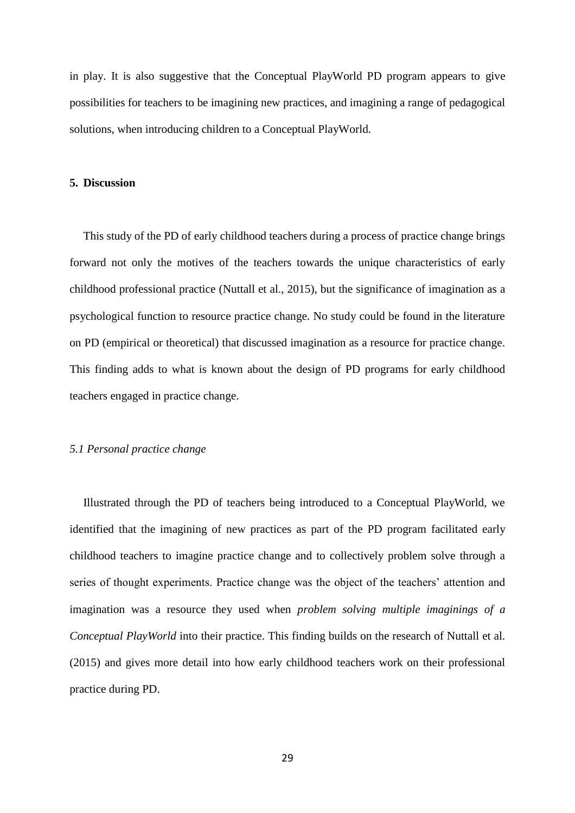in play. It is also suggestive that the Conceptual PlayWorld PD program appears to give possibilities for teachers to be imagining new practices, and imagining a range of pedagogical solutions, when introducing children to a Conceptual PlayWorld.

#### **5. Discussion**

This study of the PD of early childhood teachers during a process of practice change brings forward not only the motives of the teachers towards the unique characteristics of early childhood professional practice (Nuttall et al., 2015), but the significance of imagination as a psychological function to resource practice change. No study could be found in the literature on PD (empirical or theoretical) that discussed imagination as a resource for practice change. This finding adds to what is known about the design of PD programs for early childhood teachers engaged in practice change.

### *5.1 Personal practice change*

Illustrated through the PD of teachers being introduced to a Conceptual PlayWorld, we identified that the imagining of new practices as part of the PD program facilitated early childhood teachers to imagine practice change and to collectively problem solve through a series of thought experiments. Practice change was the object of the teachers' attention and imagination was a resource they used when *problem solving multiple imaginings of a Conceptual PlayWorld* into their practice. This finding builds on the research of Nuttall et al. (2015) and gives more detail into how early childhood teachers work on their professional practice during PD.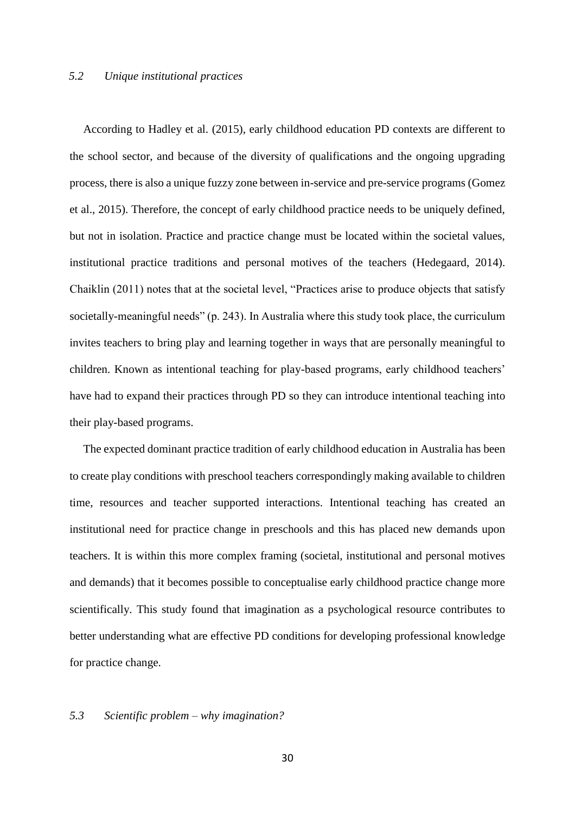### *5.2 Unique institutional practices*

According to Hadley et al. (2015), early childhood education PD contexts are different to the school sector, and because of the diversity of qualifications and the ongoing upgrading process, there is also a unique fuzzy zone between in-service and pre-service programs (Gomez et al., 2015). Therefore, the concept of early childhood practice needs to be uniquely defined, but not in isolation. Practice and practice change must be located within the societal values, institutional practice traditions and personal motives of the teachers (Hedegaard, 2014). Chaiklin (2011) notes that at the societal level, "Practices arise to produce objects that satisfy societally-meaningful needs" (p. 243). In Australia where this study took place, the curriculum invites teachers to bring play and learning together in ways that are personally meaningful to children. Known as intentional teaching for play-based programs, early childhood teachers' have had to expand their practices through PD so they can introduce intentional teaching into their play-based programs.

The expected dominant practice tradition of early childhood education in Australia has been to create play conditions with preschool teachers correspondingly making available to children time, resources and teacher supported interactions. Intentional teaching has created an institutional need for practice change in preschools and this has placed new demands upon teachers. It is within this more complex framing (societal, institutional and personal motives and demands) that it becomes possible to conceptualise early childhood practice change more scientifically. This study found that imagination as a psychological resource contributes to better understanding what are effective PD conditions for developing professional knowledge for practice change.

## *5.3 Scientific problem – why imagination?*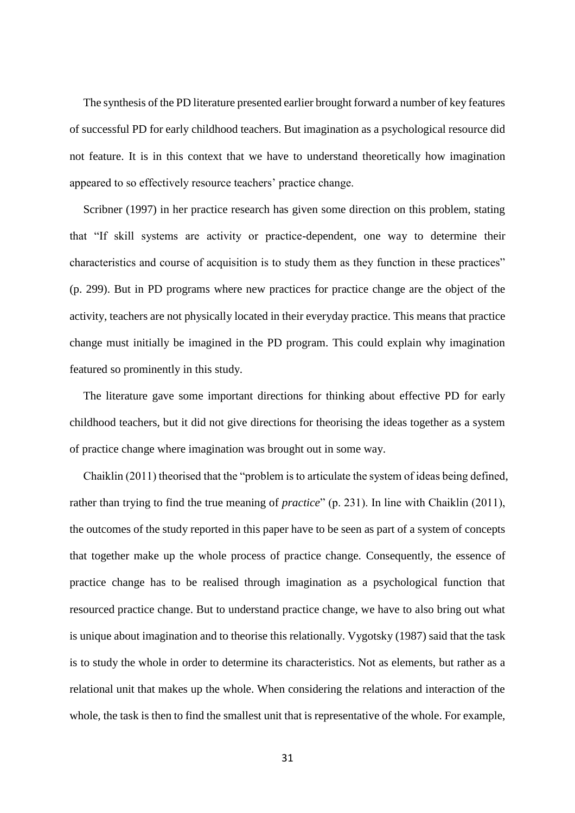The synthesis of the PD literature presented earlier brought forward a number of key features of successful PD for early childhood teachers. But imagination as a psychological resource did not feature. It is in this context that we have to understand theoretically how imagination appeared to so effectively resource teachers' practice change.

Scribner (1997) in her practice research has given some direction on this problem, stating that "If skill systems are activity or practice-dependent, one way to determine their characteristics and course of acquisition is to study them as they function in these practices" (p. 299). But in PD programs where new practices for practice change are the object of the activity, teachers are not physically located in their everyday practice. This means that practice change must initially be imagined in the PD program. This could explain why imagination featured so prominently in this study.

The literature gave some important directions for thinking about effective PD for early childhood teachers, but it did not give directions for theorising the ideas together as a system of practice change where imagination was brought out in some way.

Chaiklin (2011) theorised that the "problem is to articulate the system of ideas being defined, rather than trying to find the true meaning of *practice*" (p. 231). In line with Chaiklin (2011), the outcomes of the study reported in this paper have to be seen as part of a system of concepts that together make up the whole process of practice change. Consequently, the essence of practice change has to be realised through imagination as a psychological function that resourced practice change. But to understand practice change, we have to also bring out what is unique about imagination and to theorise this relationally. Vygotsky (1987) said that the task is to study the whole in order to determine its characteristics. Not as elements, but rather as a relational unit that makes up the whole. When considering the relations and interaction of the whole, the task is then to find the smallest unit that is representative of the whole. For example,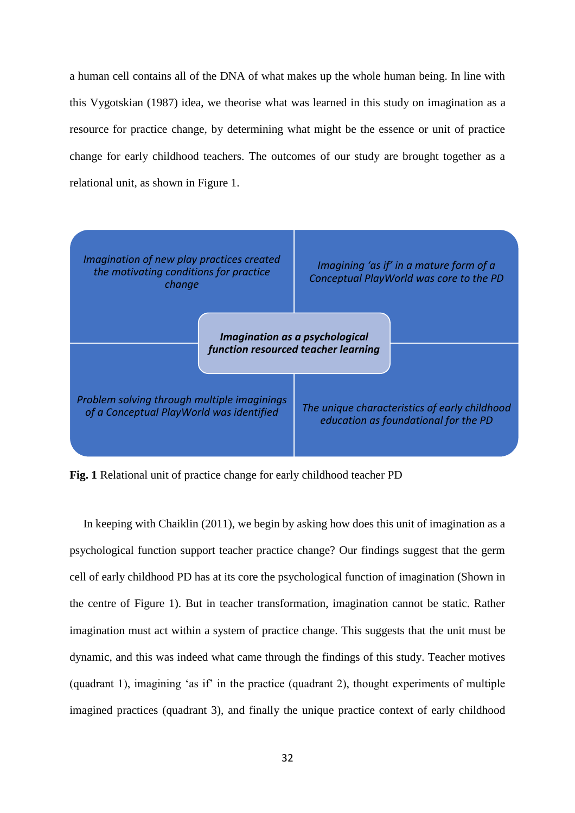a human cell contains all of the DNA of what makes up the whole human being. In line with this Vygotskian (1987) idea, we theorise what was learned in this study on imagination as a resource for practice change, by determining what might be the essence or unit of practice change for early childhood teachers. The outcomes of our study are brought together as a relational unit, as shown in Figure 1.



**Fig. 1** Relational unit of practice change for early childhood teacher PD

In keeping with Chaiklin (2011), we begin by asking how does this unit of imagination as a psychological function support teacher practice change? Our findings suggest that the germ cell of early childhood PD has at its core the psychological function of imagination (Shown in the centre of Figure 1). But in teacher transformation, imagination cannot be static. Rather imagination must act within a system of practice change. This suggests that the unit must be dynamic, and this was indeed what came through the findings of this study. Teacher motives (quadrant 1), imagining 'as if' in the practice (quadrant 2), thought experiments of multiple imagined practices (quadrant 3), and finally the unique practice context of early childhood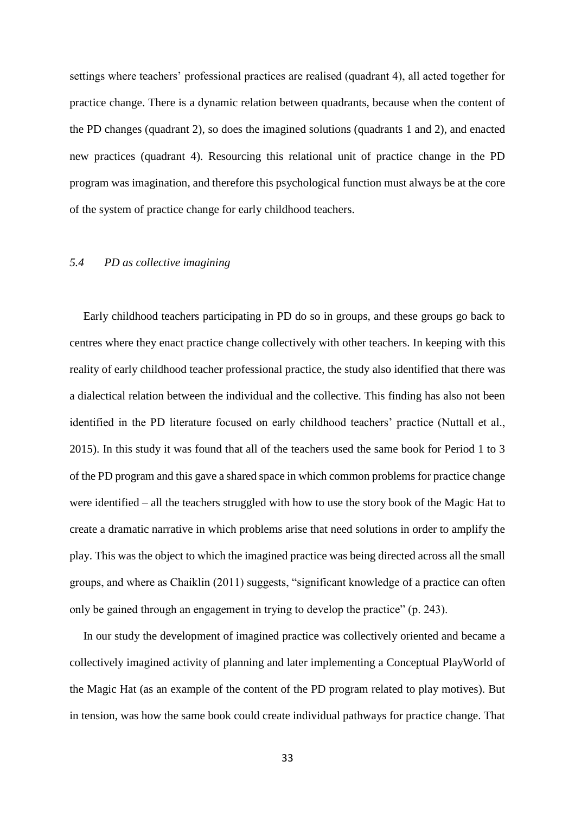settings where teachers' professional practices are realised (quadrant 4), all acted together for practice change. There is a dynamic relation between quadrants, because when the content of the PD changes (quadrant 2), so does the imagined solutions (quadrants 1 and 2), and enacted new practices (quadrant 4). Resourcing this relational unit of practice change in the PD program was imagination, and therefore this psychological function must always be at the core of the system of practice change for early childhood teachers.

# *5.4 PD as collective imagining*

Early childhood teachers participating in PD do so in groups, and these groups go back to centres where they enact practice change collectively with other teachers. In keeping with this reality of early childhood teacher professional practice, the study also identified that there was a dialectical relation between the individual and the collective. This finding has also not been identified in the PD literature focused on early childhood teachers' practice (Nuttall et al., 2015). In this study it was found that all of the teachers used the same book for Period 1 to 3 of the PD program and this gave a shared space in which common problems for practice change were identified – all the teachers struggled with how to use the story book of the Magic Hat to create a dramatic narrative in which problems arise that need solutions in order to amplify the play. This was the object to which the imagined practice was being directed across all the small groups, and where as Chaiklin (2011) suggests, "significant knowledge of a practice can often only be gained through an engagement in trying to develop the practice" (p. 243).

In our study the development of imagined practice was collectively oriented and became a collectively imagined activity of planning and later implementing a Conceptual PlayWorld of the Magic Hat (as an example of the content of the PD program related to play motives). But in tension, was how the same book could create individual pathways for practice change. That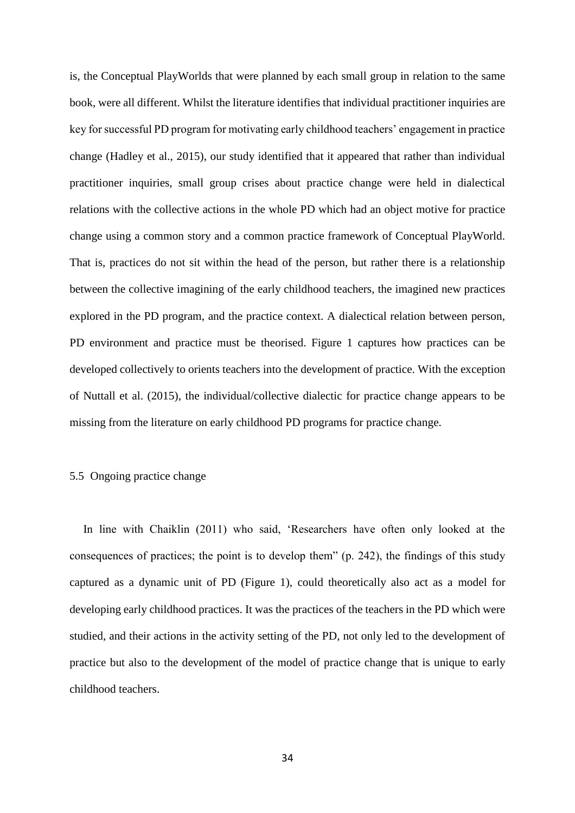is, the Conceptual PlayWorlds that were planned by each small group in relation to the same book, were all different. Whilst the literature identifies that individual practitioner inquiries are key for successful PD program for motivating early childhood teachers' engagement in practice change (Hadley et al., 2015), our study identified that it appeared that rather than individual practitioner inquiries, small group crises about practice change were held in dialectical relations with the collective actions in the whole PD which had an object motive for practice change using a common story and a common practice framework of Conceptual PlayWorld. That is, practices do not sit within the head of the person, but rather there is a relationship between the collective imagining of the early childhood teachers, the imagined new practices explored in the PD program, and the practice context. A dialectical relation between person, PD environment and practice must be theorised. Figure 1 captures how practices can be developed collectively to orients teachers into the development of practice. With the exception of Nuttall et al. (2015), the individual/collective dialectic for practice change appears to be missing from the literature on early childhood PD programs for practice change.

## 5.5 Ongoing practice change

In line with Chaiklin (2011) who said, 'Researchers have often only looked at the consequences of practices; the point is to develop them" (p. 242), the findings of this study captured as a dynamic unit of PD (Figure 1), could theoretically also act as a model for developing early childhood practices. It was the practices of the teachers in the PD which were studied, and their actions in the activity setting of the PD, not only led to the development of practice but also to the development of the model of practice change that is unique to early childhood teachers.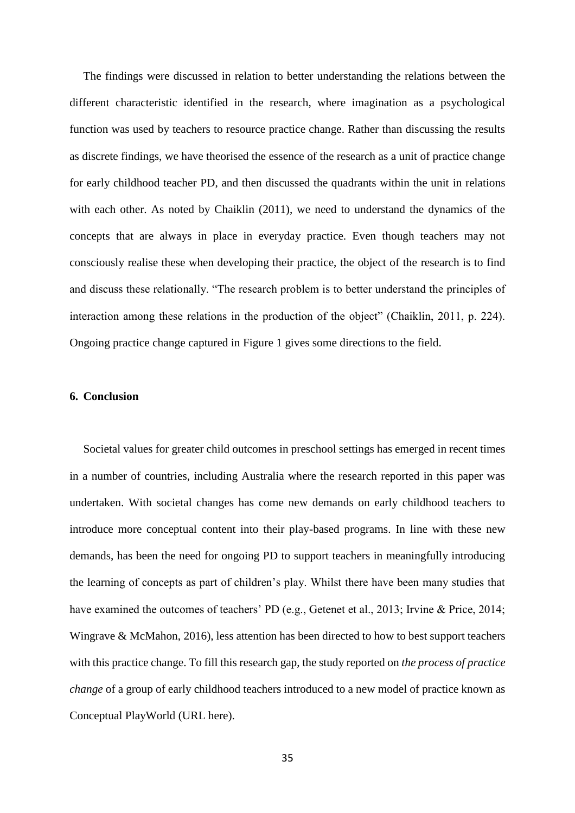The findings were discussed in relation to better understanding the relations between the different characteristic identified in the research, where imagination as a psychological function was used by teachers to resource practice change. Rather than discussing the results as discrete findings, we have theorised the essence of the research as a unit of practice change for early childhood teacher PD, and then discussed the quadrants within the unit in relations with each other. As noted by Chaiklin (2011), we need to understand the dynamics of the concepts that are always in place in everyday practice. Even though teachers may not consciously realise these when developing their practice, the object of the research is to find and discuss these relationally. "The research problem is to better understand the principles of interaction among these relations in the production of the object" (Chaiklin, 2011, p. 224). Ongoing practice change captured in Figure 1 gives some directions to the field.

## **6. Conclusion**

Societal values for greater child outcomes in preschool settings has emerged in recent times in a number of countries, including Australia where the research reported in this paper was undertaken. With societal changes has come new demands on early childhood teachers to introduce more conceptual content into their play-based programs. In line with these new demands, has been the need for ongoing PD to support teachers in meaningfully introducing the learning of concepts as part of children's play. Whilst there have been many studies that have examined the outcomes of teachers' PD (e.g., Getenet et al., 2013; Irvine & Price, 2014; Wingrave & McMahon, 2016), less attention has been directed to how to best support teachers with this practice change. To fill this research gap, the study reported on *the process of practice change* of a group of early childhood teachers introduced to a new model of practice known as Conceptual PlayWorld (URL here).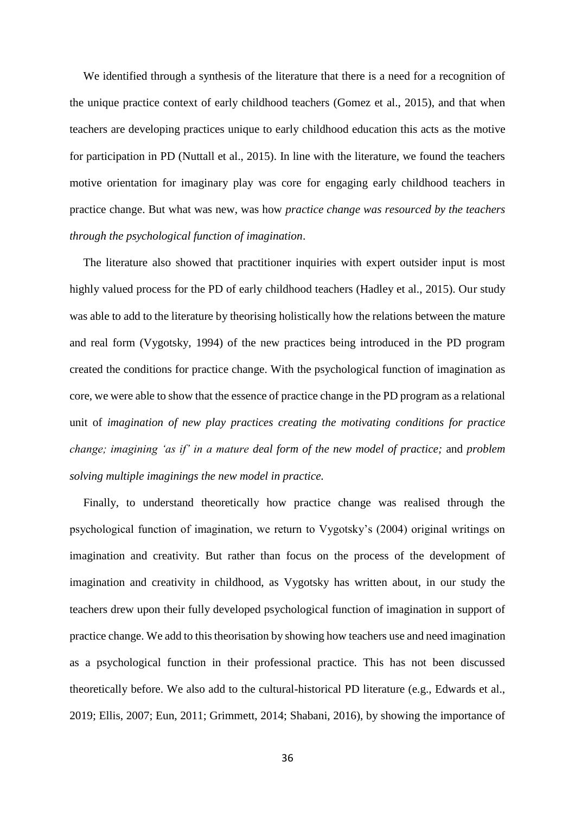We identified through a synthesis of the literature that there is a need for a recognition of the unique practice context of early childhood teachers (Gomez et al., 2015), and that when teachers are developing practices unique to early childhood education this acts as the motive for participation in PD (Nuttall et al., 2015). In line with the literature, we found the teachers motive orientation for imaginary play was core for engaging early childhood teachers in practice change. But what was new, was how *practice change was resourced by the teachers through the psychological function of imagination*.

The literature also showed that practitioner inquiries with expert outsider input is most highly valued process for the PD of early childhood teachers (Hadley et al., 2015). Our study was able to add to the literature by theorising holistically how the relations between the mature and real form (Vygotsky, 1994) of the new practices being introduced in the PD program created the conditions for practice change. With the psychological function of imagination as core, we were able to show that the essence of practice change in the PD program as a relational unit of *imagination of new play practices creating the motivating conditions for practice change; imagining 'as if' in a mature deal form of the new model of practice;* and *problem solving multiple imaginings the new model in practice.*

Finally, to understand theoretically how practice change was realised through the psychological function of imagination, we return to Vygotsky's (2004) original writings on imagination and creativity. But rather than focus on the process of the development of imagination and creativity in childhood, as Vygotsky has written about, in our study the teachers drew upon their fully developed psychological function of imagination in support of practice change. We add to this theorisation by showing how teachers use and need imagination as a psychological function in their professional practice. This has not been discussed theoretically before. We also add to the cultural-historical PD literature (e.g., Edwards et al., 2019; Ellis, 2007; Eun, 2011; Grimmett, 2014; Shabani, 2016), by showing the importance of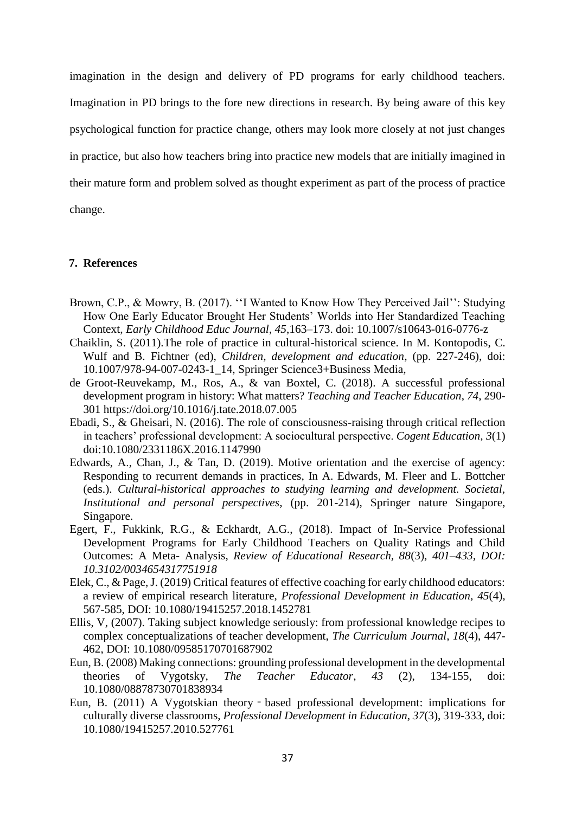imagination in the design and delivery of PD programs for early childhood teachers. Imagination in PD brings to the fore new directions in research. By being aware of this key psychological function for practice change, others may look more closely at not just changes in practice, but also how teachers bring into practice new models that are initially imagined in their mature form and problem solved as thought experiment as part of the process of practice change.

### **7. References**

- Brown, C.P., & Mowry, B. (2017). ''I Wanted to Know How They Perceived Jail'': Studying How One Early Educator Brought Her Students' Worlds into Her Standardized Teaching Context, *Early Childhood Educ Journal*, *45*,163–173. doi: 10.1007/s10643-016-0776-z
- Chaiklin, S. (2011).The role of practice in cultural-historical science. In M. Kontopodis, C. Wulf and B. Fichtner (ed), *Children, development and education*, (pp. 227-246), doi: 10.1007/978-94-007-0243-1\_14, Springer Science3+Business Media,
- de Groot-Reuvekamp, M., Ros, A., & van Boxtel, C. (2018). A successful professional development program in history: What matters? *Teaching and Teacher Education*, *74*, 290- 301 https://doi.org/10.1016/j.tate.2018.07.005
- Ebadi, S., & Gheisari, N. (2016). The role of consciousness-raising through critical reflection in teachers' professional development: A sociocultural perspective. *Cogent Education, 3*(1) doi:10.1080/2331186X.2016.1147990
- Edwards, A., Chan, J., & Tan, D. (2019). Motive orientation and the exercise of agency: Responding to recurrent demands in practices, In A. Edwards, M. Fleer and L. Bottcher (eds.). *Cultural-historical approaches to studying learning and development. Societal, Institutional and personal perspectives*, (pp. 201-214), Springer nature Singapore, Singapore.
- Egert, F., Fukkink, R.G., & Eckhardt, A.G., (2018). Impact of In-Service Professional Development Programs for Early Childhood Teachers on Quality Ratings and Child Outcomes: A Meta- Analysis, *Review of Educational Research, 88*(3), *401–433, DOI: 10.3102/0034654317751918*
- Elek, C., & Page, J. (2019) Critical features of effective coaching for early childhood educators: a review of empirical research literature, *Professional Development in Education*, *45*(4), 567-585, DOI: 10.1080/19415257.2018.1452781
- Ellis, V, (2007). Taking subject knowledge seriously: from professional knowledge recipes to complex conceptualizations of teacher development, *The Curriculum Journal*, *18*(4), 447- 462, DOI: 10.1080/09585170701687902
- Eun, B. (2008) Making connections: grounding professional development in the developmental theories of Vygotsky, *The Teacher Educator*, *43* (2), 134-155, doi: 10.1080/08878730701838934
- Eun, B. (2011) A Vygotskian theory‐based professional development: implications for culturally diverse classrooms, *Professional Development in Education*, *37*(3), 319-333, doi: 10.1080/19415257.2010.527761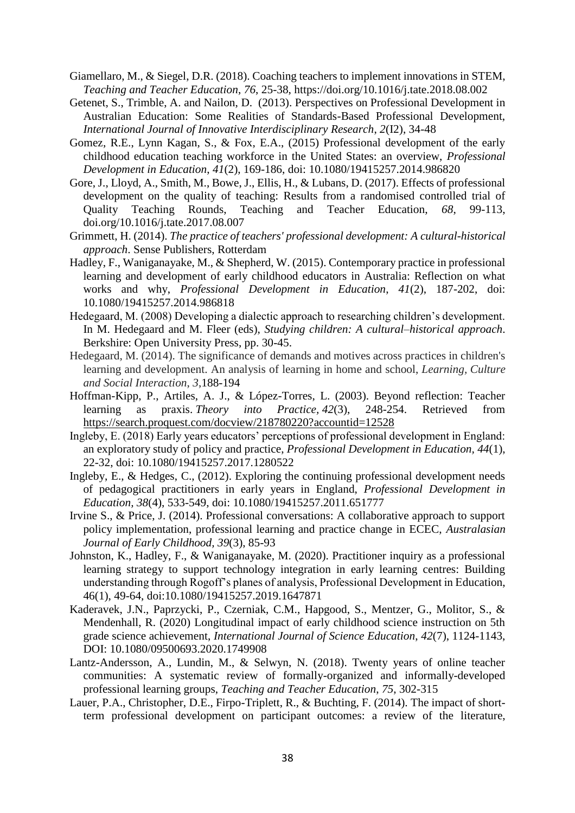- Giamellaro, M., & Siegel, D.R. (2018). Coaching teachers to implement innovations in STEM, *Teaching and Teacher Education*, *76*, 25-38, https://doi.org/10.1016/j.tate.2018.08.002
- Getenet, S., Trimble, A. and Nailon, D. (2013). Perspectives on Professional Development in Australian Education: Some Realities of Standards-Based Professional Development, *International Journal of Innovative Interdisciplinary Research*, *2*(I2), 34-48
- Gomez, R.E., Lynn Kagan, S., & Fox, E.A., (2015) Professional development of the early childhood education teaching workforce in the United States: an overview, *Professional Development in Education*, *41*(2), 169-186, doi: 10.1080/19415257.2014.986820
- Gore, J., Lloyd, A., Smith, M., Bowe, J., Ellis, H., & Lubans, D. (2017). Effects of professional development on the quality of teaching: Results from a randomised controlled trial of Quality Teaching Rounds, Teaching and Teacher Education, *68*, 99-113, doi.org/10.1016/j.tate.2017.08.007
- Grimmett, H. (2014). *The practice of teachers' professional development: A cultural-historical approach*. Sense Publishers, Rotterdam
- Hadley, F., Waniganayake, M., & Shepherd, W. (2015). Contemporary practice in professional learning and development of early childhood educators in Australia: Reflection on what works and why, *Professional Development in Education*, *41*(2), 187-202, doi: 10.1080/19415257.2014.986818
- Hedegaard, M. (2008) Developing a dialectic approach to researching children's development. In M. Hedegaard and M. Fleer (eds), *Studying children: A cultural–historical approach*. Berkshire: Open University Press, pp. 30-45.
- Hedegaard, M. (2014). The significance of demands and motives across practices in children's learning and development. An analysis of learning in home and school, *Learning, Culture and Social Interaction*, *3*,188-194
- Hoffman-Kipp, P., Artiles, A. J., & López-Torres, L. (2003). Beyond reflection: Teacher learning as praxis. *Theory into Practice, 42*(3), 248-254. Retrieved from <https://search.proquest.com/docview/218780220?accountid=12528>
- Ingleby, E. (2018) Early years educators' perceptions of professional development in England: an exploratory study of policy and practice, *Professional Development in Education, 44*(1), 22-32, doi: 10.1080/19415257.2017.1280522
- Ingleby, E., & Hedges, C., (2012). Exploring the continuing professional development needs of pedagogical practitioners in early years in England, *Professional Development in Education, 38*(4), 533-549, doi: 10.1080/19415257.2011.651777
- Irvine S., & Price, J. (2014). Professional conversations: A collaborative approach to support policy implementation, professional learning and practice change in ECEC, *Australasian Journal of Early Childhood, 39*(3), 85-93
- Johnston, K., Hadley, F., & Waniganayake, M. (2020). Practitioner inquiry as a professional learning strategy to support technology integration in early learning centres: Building understanding through Rogoff's planes of analysis, Professional Development in Education, 46(1), 49-64, doi:10.1080/19415257.2019.1647871
- Kaderavek, J.N., Paprzycki, P., Czerniak, C.M., Hapgood, S., Mentzer, G., Molitor, S., & Mendenhall, R. (2020) Longitudinal impact of early childhood science instruction on 5th grade science achievement, *International Journal of Science Education*, *42*(7), 1124-1143, DOI: 10.1080/09500693.2020.1749908
- Lantz-Andersson, A., Lundin, M., & Selwyn, N. (2018). Twenty years of online teacher communities: A systematic review of formally-organized and informally-developed professional learning groups, *Teaching and Teacher Education*, *75*, 302-315
- Lauer, P.A., Christopher, D.E., Firpo-Triplett, R., & Buchting, F. (2014). The impact of shortterm professional development on participant outcomes: a review of the literature,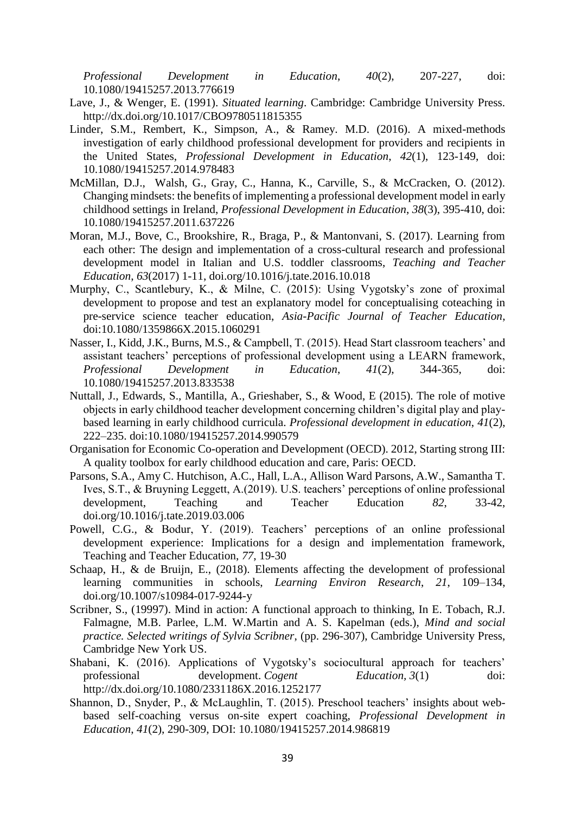*Professional Development in Education*, *40*(2), 207-227, doi: 10.1080/19415257.2013.776619

- Lave, J., & Wenger, E. (1991). *Situated learning*. Cambridge: Cambridge University Press. http://dx.doi.org/10.1017/CBO9780511815355
- Linder, S.M., Rembert, K., Simpson, A., & Ramey. M.D. (2016). A mixed-methods investigation of early childhood professional development for providers and recipients in the United States, *Professional Development in Education*, *42*(1), 123-149, doi: 10.1080/19415257.2014.978483
- McMillan, D.J., Walsh, G., Gray, C., Hanna, K., Carville, S., & McCracken, O. (2012). Changing mindsets: the benefits of implementing a professional development model in early childhood settings in Ireland, *Professional Development in Education*, *38*(3), 395-410, doi: 10.1080/19415257.2011.637226
- Moran, M.J., Bove, C., Brookshire, R., Braga, P., & Mantonvani, S. (2017). Learning from each other: The design and implementation of a cross-cultural research and professional development model in Italian and U.S. toddler classrooms, *Teaching and Teacher Education*, *63*(2017) 1-11, doi.org/10.1016/j.tate.2016.10.018
- Murphy, C., Scantlebury, K., & Milne, C. (2015): Using Vygotsky's zone of proximal development to propose and test an explanatory model for conceptualising coteaching in pre-service science teacher education, *Asia-Pacific Journal of Teacher Education*, doi:10.1080/1359866X.2015.1060291
- Nasser, I., Kidd, J.K., Burns, M.S., & Campbell, T. (2015). Head Start classroom teachers' and assistant teachers' perceptions of professional development using a LEARN framework, *Professional Development in Education*, *41*(2), 344-365, doi: 10.1080/19415257.2013.833538
- Nuttall, J., Edwards, S., Mantilla, A., Grieshaber, S., & Wood, E (2015). The role of motive objects in early childhood teacher development concerning children's digital play and playbased learning in early childhood curricula. *Professional development in education*, *41*(2), 222–235. doi:10.1080/19415257.2014.990579
- Organisation for Economic Co-operation and Development (OECD). 2012, Starting strong III: A quality toolbox for early childhood education and care, Paris: OECD.
- Parsons, S.A., Amy C. Hutchison, A.C., Hall, L.A., Allison Ward Parsons, A.W., Samantha T. Ives, S.T., & Bruyning Leggett, A.(2019). U.S. teachers' perceptions of online professional development, Teaching and Teacher Education *82*, 33-42, doi.org/10.1016/j.tate.2019.03.006
- Powell, C.G., & Bodur, Y. (2019). Teachers' perceptions of an online professional development experience: Implications for a design and implementation framework, Teaching and Teacher Education, *77*, 19-30
- Schaap, H., & de Bruijn, E., (2018). Elements affecting the development of professional learning communities in schools, *Learning Environ Research*, *21*, 109–134, doi.org/10.1007/s10984-017-9244-y
- Scribner, S., (19997). Mind in action: A functional approach to thinking, In E. Tobach, R.J. Falmagne, M.B. Parlee, L.M. W.Martin and A. S. Kapelman (eds.), *Mind and social practice. Selected writings of Sylvia Scribner*, (pp. 296-307), Cambridge University Press, Cambridge New York US.
- Shabani, K. (2016). Applications of Vygotsky's sociocultural approach for teachers' professional development. *Cogent Education,* 3(1) doi: http://dx.doi.org/10.1080/2331186X.2016.1252177
- Shannon, D., Snyder, P., & McLaughlin, T. (2015). Preschool teachers' insights about webbased self-coaching versus on-site expert coaching, *Professional Development in Education*, *41*(2), 290-309, DOI: 10.1080/19415257.2014.986819